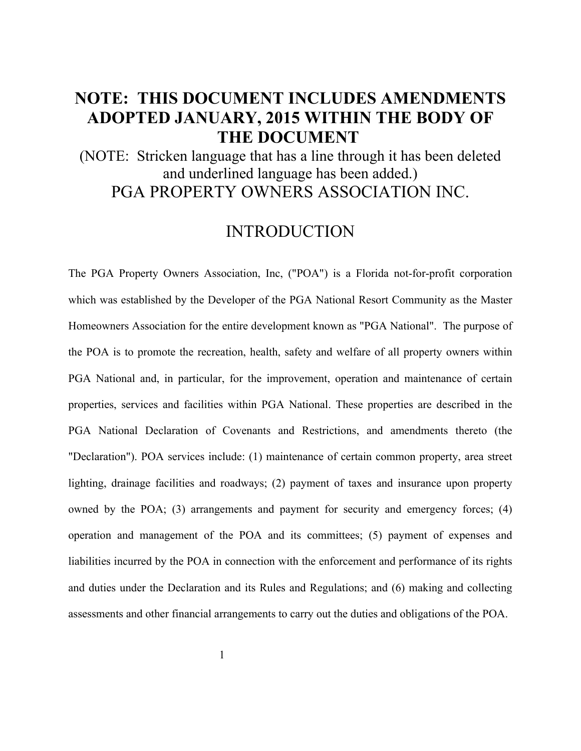# **NOTE: THIS DOCUMENT INCLUDES AMENDMENTS ADOPTED JANUARY, 2015 WITHIN THE BODY OF THE DOCUMENT**

(NOTE: Stricken language that has a line through it has been deleted and underlined language has been added.) PGA PROPERTY OWNERS ASSOCIATION INC.

## INTRODUCTION

The PGA Property Owners Association, Inc, ("POA") is a Florida not-for-profit corporation which was established by the Developer of the PGA National Resort Community as the Master Homeowners Association for the entire development known as "PGA National". The purpose of the POA is to promote the recreation, health, safety and welfare of all property owners within PGA National and, in particular, for the improvement, operation and maintenance of certain properties, services and facilities within PGA National. These properties are described in the PGA National Declaration of Covenants and Restrictions, and amendments thereto (the "Declaration"). POA services include: (1) maintenance of certain common property, area street lighting, drainage facilities and roadways; (2) payment of taxes and insurance upon property owned by the POA; (3) arrangements and payment for security and emergency forces; (4) operation and management of the POA and its committees; (5) payment of expenses and liabilities incurred by the POA in connection with the enforcement and performance of its rights and duties under the Declaration and its Rules and Regulations; and (6) making and collecting assessments and other financial arrangements to carry out the duties and obligations of the POA.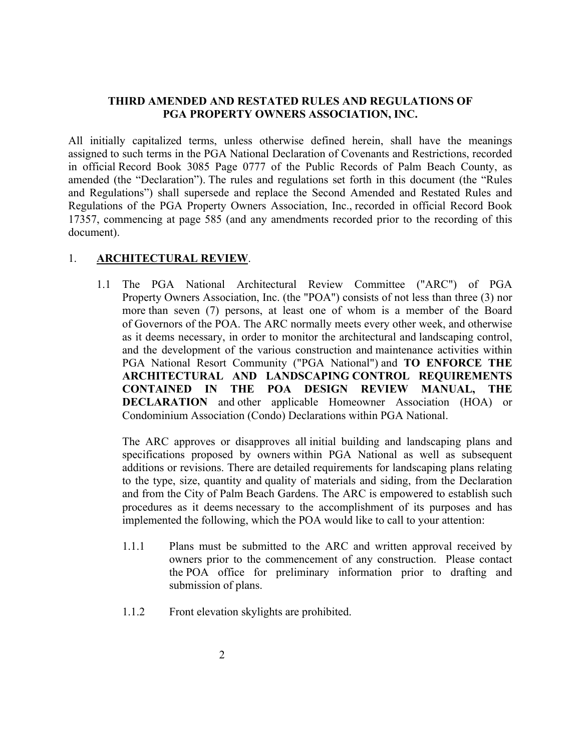#### **THIRD AMENDED AND RESTATED RULES AND REGULATIONS OF PGA PROPERTY OWNERS ASSOCIATION, INC.**

All initially capitalized terms, unless otherwise defined herein, shall have the meanings assigned to such terms in the PGA National Declaration of Covenants and Restrictions, recorded in official Record Book 3085 Page 0777 of the Public Records of Palm Beach County, as amended (the "Declaration"). The rules and regulations set forth in this document (the "Rules and Regulations") shall supersede and replace the Second Amended and Restated Rules and Regulations of the PGA Property Owners Association, Inc., recorded in official Record Book 17357, commencing at page 585 (and any amendments recorded prior to the recording of this document).

#### 1. **ARCHITECTURAL REVIEW**.

1.1 The PGA National Architectural Review Committee ("ARC") of PGA Property Owners Association, Inc. (the "POA") consists of not less than three (3) nor more than seven (7) persons, at least one of whom is a member of the Board of Governors of the POA. The ARC normally meets every other week, and otherwise as it deems necessary, in order to monitor the architectural and landscaping control, and the development of the various construction and maintenance activities within PGA National Resort Community ("PGA National") and **TO ENFORCE THE ARCHITECTURAL AND LANDSCAPING CONTROL REQUIREMENTS CONTAINED IN THE POA DESIGN REVIEW MANUAL, THE DECLARATION** and other applicable Homeowner Association (HOA) or Condominium Association (Condo) Declarations within PGA National.

The ARC approves or disapproves all initial building and landscaping plans and specifications proposed by owners within PGA National as well as subsequent additions or revisions. There are detailed requirements for landscaping plans relating to the type, size, quantity and quality of materials and siding, from the Declaration and from the City of Palm Beach Gardens. The ARC is empowered to establish such procedures as it deems necessary to the accomplishment of its purposes and has implemented the following, which the POA would like to call to your attention:

- 1.1.1 Plans must be submitted to the ARC and written approval received by owners prior to the commencement of any construction. Please contact the POA office for preliminary information prior to drafting and submission of plans.
- 1.1.2 Front elevation skylights are prohibited.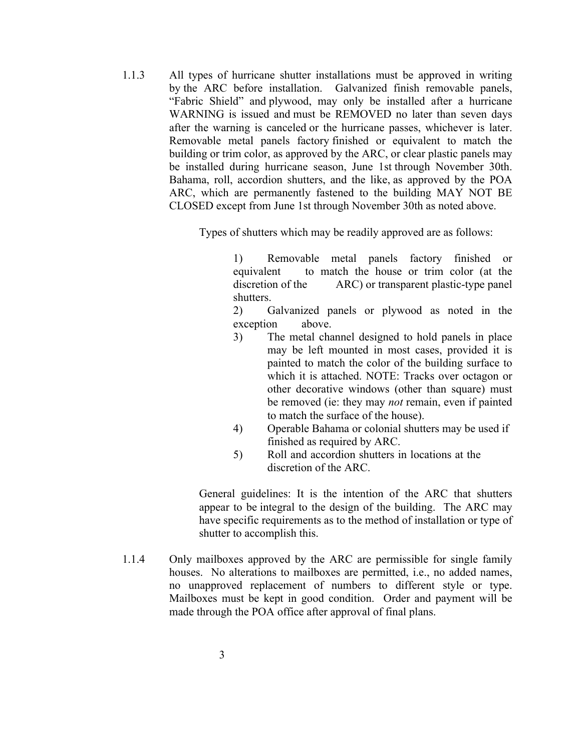1.1.3 All types of hurricane shutter installations must be approved in writing by the ARC before installation. Galvanized finish removable panels, "Fabric Shield" and plywood, may only be installed after a hurricane WARNING is issued and must be REMOVED no later than seven days after the warning is canceled or the hurricane passes, whichever is later. Removable metal panels factory finished or equivalent to match the building or trim color, as approved by the ARC, or clear plastic panels may be installed during hurricane season, June 1st through November 30th. Bahama, roll, accordion shutters, and the like, as approved by the POA ARC, which are permanently fastened to the building MAY NOT BE CLOSED except from June 1st through November 30th as noted above.

Types of shutters which may be readily approved are as follows:

1) Removable metal panels factory finished or equivalent to match the house or trim color (at the discretion of the ARC) or transparent plastic-type panel shutters.

2) Galvanized panels or plywood as noted in the exception above.

- 3) The metal channel designed to hold panels in place may be left mounted in most cases, provided it is painted to match the color of the building surface to which it is attached. NOTE: Tracks over octagon or other decorative windows (other than square) must be removed (ie: they may *not* remain, even if painted to match the surface of the house).
- 4) Operable Bahama or colonial shutters may be used if finished as required by ARC.
- 5) Roll and accordion shutters in locations at the discretion of the ARC.

General guidelines: It is the intention of the ARC that shutters appear to be integral to the design of the building. The ARC may have specific requirements as to the method of installation or type of shutter to accomplish this.

1.1.4 Only mailboxes approved by the ARC are permissible for single family houses. No alterations to mailboxes are permitted, i.e., no added names, no unapproved replacement of numbers to different style or type. Mailboxes must be kept in good condition. Order and payment will be made through the POA office after approval of final plans.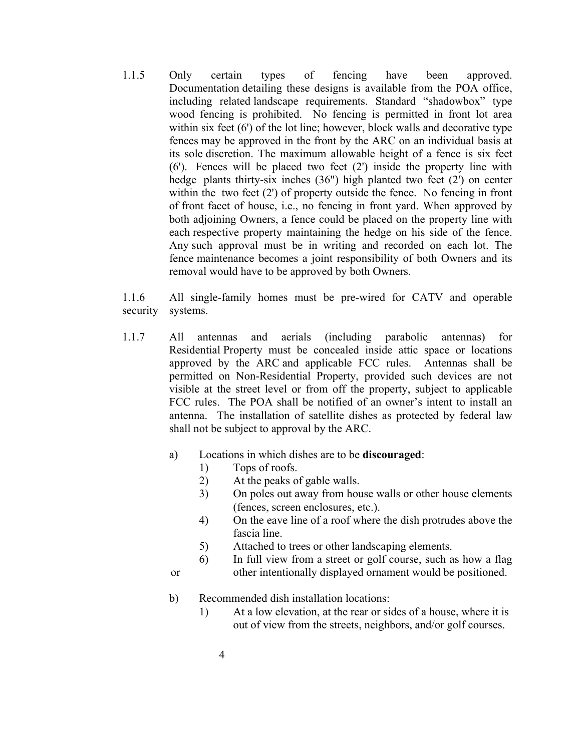1.1.5 Only certain types of fencing have been approved. Documentation detailing these designs is available from the POA office, including related landscape requirements. Standard "shadowbox" type wood fencing is prohibited. No fencing is permitted in front lot area within six feet (6') of the lot line; however, block walls and decorative type fences may be approved in the front by the ARC on an individual basis at its sole discretion. The maximum allowable height of a fence is six feet  $(6')$ . Fences will be placed two feet  $(2')$  inside the property line with hedge plants thirty-six inches  $(36")$  high planted two feet  $(2')$  on center within the two feet (2') of property outside the fence. No fencing in front of front facet of house, i.e., no fencing in front yard. When approved by both adjoining Owners, a fence could be placed on the property line with each respective property maintaining the hedge on his side of the fence. Any such approval must be in writing and recorded on each lot. The fence maintenance becomes a joint responsibility of both Owners and its removal would have to be approved by both Owners.

1.1.6 All single-family homes must be pre-wired for CATV and operable security systems.

- 1.1.7 All antennas and aerials (including parabolic antennas) for Residential Property must be concealed inside attic space or locations approved by the ARC and applicable FCC rules. Antennas shall be permitted on Non-Residential Property, provided such devices are not visible at the street level or from off the property, subject to applicable FCC rules. The POA shall be notified of an owner's intent to install an antenna. The installation of satellite dishes as protected by federal law shall not be subject to approval by the ARC.
	- a) Locations in which dishes are to be **discouraged**:
		- 1) Tops of roofs.
		- 2) At the peaks of gable walls.
		- 3) On poles out away from house walls or other house elements (fences, screen enclosures, etc.).
		- 4) On the eave line of a roof where the dish protrudes above the fascia line.
		- 5) Attached to trees or other landscaping elements.
	- 6) In full view from a street or golf course, such as how a flag or other intentionally displayed ornament would be positioned.
	- b) Recommended dish installation locations:
		- 1) At a low elevation, at the rear or sides of a house, where it is out of view from the streets, neighbors, and/or golf courses.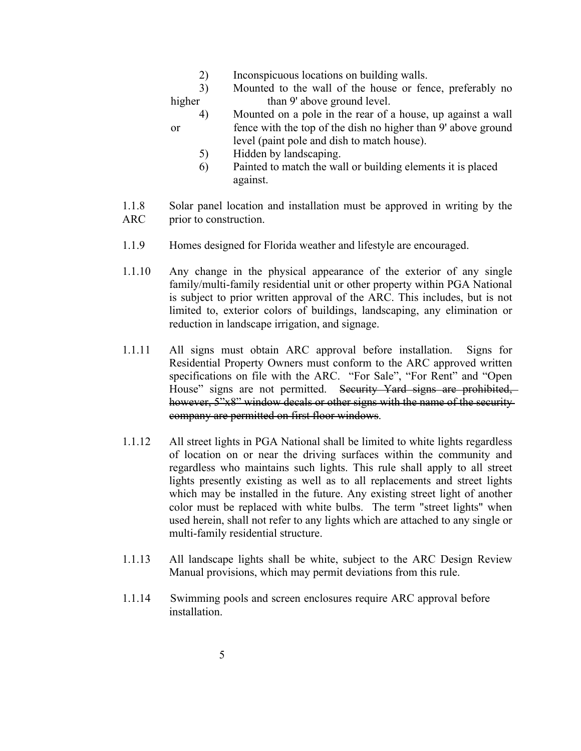2) Inconspicuous locations on building walls.

3) Mounted to the wall of the house or fence, preferably no higher than 9' above ground level.

- 4) Mounted on a pole in the rear of a house, up against a wall or fence with the top of the dish no higher than 9' above ground level (paint pole and dish to match house).
	- 5) Hidden by landscaping.
	- 6) Painted to match the wall or building elements it is placed against.
- 1.1.8 Solar panel location and installation must be approved in writing by the ARC prior to construction.
- 1.1.9 Homes designed for Florida weather and lifestyle are encouraged.
- 1.1.10 Any change in the physical appearance of the exterior of any single family/multi-family residential unit or other property within PGA National is subject to prior written approval of the ARC. This includes, but is not limited to, exterior colors of buildings, landscaping, any elimination or reduction in landscape irrigation, and signage.
- 1.1.11 All signs must obtain ARC approval before installation. Signs for Residential Property Owners must conform to the ARC approved written specifications on file with the ARC. "For Sale", "For Rent" and "Open House" signs are not permitted. Security Yard signs are prohibited, however, 5"x8" window decals or other signs with the name of the securitycompany are permitted on first floor windows.
- 1.1.12 All street lights in PGA National shall be limited to white lights regardless of location on or near the driving surfaces within the community and regardless who maintains such lights. This rule shall apply to all street lights presently existing as well as to all replacements and street lights which may be installed in the future. Any existing street light of another color must be replaced with white bulbs. The term "street lights" when used herein, shall not refer to any lights which are attached to any single or multi-family residential structure.
- 1.1.13 All landscape lights shall be white, subject to the ARC Design Review Manual provisions, which may permit deviations from this rule.
- 1.1.14 Swimming pools and screen enclosures require ARC approval before installation.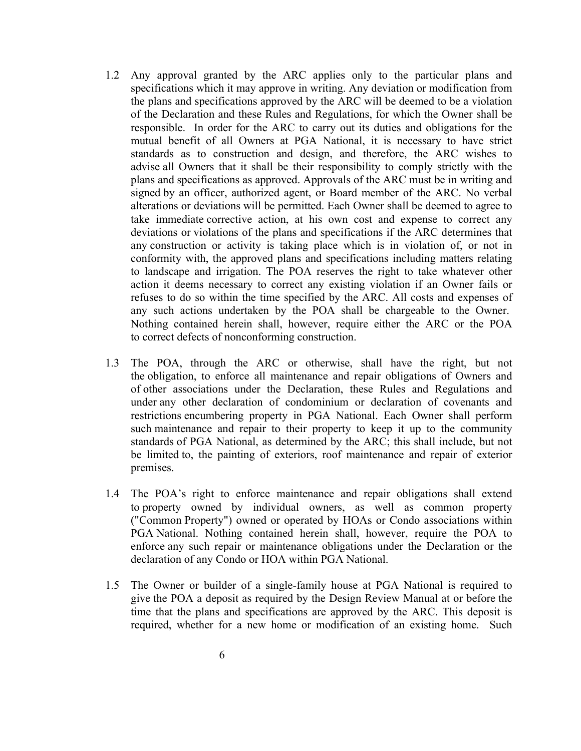- 1.2 Any approval granted by the ARC applies only to the particular plans and specifications which it may approve in writing. Any deviation or modification from the plans and specifications approved by the ARC will be deemed to be a violation of the Declaration and these Rules and Regulations, for which the Owner shall be responsible. In order for the ARC to carry out its duties and obligations for the mutual benefit of all Owners at PGA National, it is necessary to have strict standards as to construction and design, and therefore, the ARC wishes to advise all Owners that it shall be their responsibility to comply strictly with the plans and specifications as approved. Approvals of the ARC must be in writing and signed by an officer, authorized agent, or Board member of the ARC. No verbal alterations or deviations will be permitted. Each Owner shall be deemed to agree to take immediate corrective action, at his own cost and expense to correct any deviations or violations of the plans and specifications if the ARC determines that any construction or activity is taking place which is in violation of, or not in conformity with, the approved plans and specifications including matters relating to landscape and irrigation. The POA reserves the right to take whatever other action it deems necessary to correct any existing violation if an Owner fails or refuses to do so within the time specified by the ARC. All costs and expenses of any such actions undertaken by the POA shall be chargeable to the Owner. Nothing contained herein shall, however, require either the ARC or the POA to correct defects of nonconforming construction.
- 1.3 The POA, through the ARC or otherwise, shall have the right, but not the obligation, to enforce all maintenance and repair obligations of Owners and of other associations under the Declaration, these Rules and Regulations and under any other declaration of condominium or declaration of covenants and restrictions encumbering property in PGA National. Each Owner shall perform such maintenance and repair to their property to keep it up to the community standards of PGA National, as determined by the ARC; this shall include, but not be limited to, the painting of exteriors, roof maintenance and repair of exterior premises.
- 1.4 The POA's right to enforce maintenance and repair obligations shall extend to property owned by individual owners, as well as common property ("Common Property") owned or operated by HOAs or Condo associations within PGA National. Nothing contained herein shall, however, require the POA to enforce any such repair or maintenance obligations under the Declaration or the declaration of any Condo or HOA within PGA National.
- 1.5 The Owner or builder of a single-family house at PGA National is required to give the POA a deposit as required by the Design Review Manual at or before the time that the plans and specifications are approved by the ARC. This deposit is required, whether for a new home or modification of an existing home. Such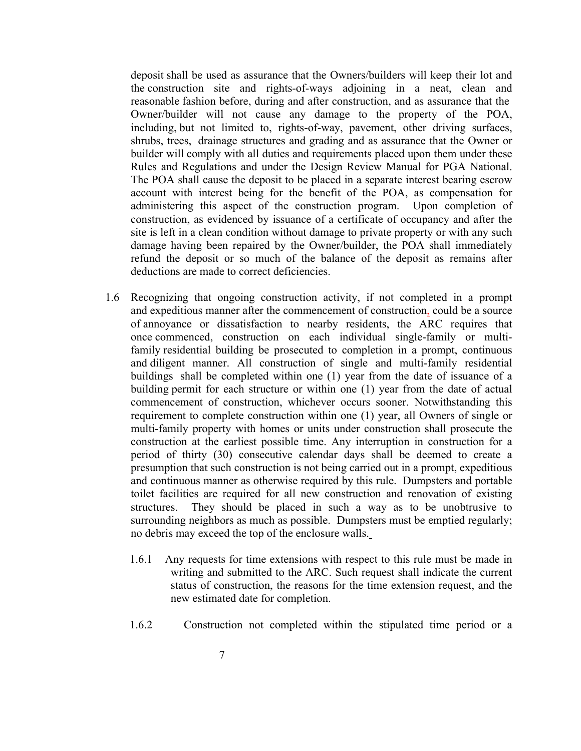deposit shall be used as assurance that the Owners/builders will keep their lot and the construction site and rights-of-ways adjoining in a neat, clean and reasonable fashion before, during and after construction, and as assurance that the Owner/builder will not cause any damage to the property of the POA, including, but not limited to, rights-of-way, pavement, other driving surfaces, shrubs, trees, drainage structures and grading and as assurance that the Owner or builder will comply with all duties and requirements placed upon them under these Rules and Regulations and under the Design Review Manual for PGA National. The POA shall cause the deposit to be placed in a separate interest bearing escrow account with interest being for the benefit of the POA, as compensation for administering this aspect of the construction program. Upon completion of construction, as evidenced by issuance of a certificate of occupancy and after the site is left in a clean condition without damage to private property or with any such damage having been repaired by the Owner/builder, the POA shall immediately refund the deposit or so much of the balance of the deposit as remains after deductions are made to correct deficiencies.

- 1.6 Recognizing that ongoing construction activity, if not completed in a prompt and expeditious manner after the commencement of construction, could be a source of annoyance or dissatisfaction to nearby residents, the ARC requires that once commenced, construction on each individual single-family or multifamily residential building be prosecuted to completion in a prompt, continuous and diligent manner. All construction of single and multi-family residential buildings shall be completed within one (1) year from the date of issuance of a building permit for each structure or within one (1) year from the date of actual commencement of construction, whichever occurs sooner. Notwithstanding this requirement to complete construction within one (1) year, all Owners of single or multi-family property with homes or units under construction shall prosecute the construction at the earliest possible time. Any interruption in construction for a period of thirty (30) consecutive calendar days shall be deemed to create a presumption that such construction is not being carried out in a prompt, expeditious and continuous manner as otherwise required by this rule. Dumpsters and portable toilet facilities are required for all new construction and renovation of existing structures. They should be placed in such a way as to be unobtrusive to surrounding neighbors as much as possible. Dumpsters must be emptied regularly; no debris may exceed the top of the enclosure walls.
	- 1.6.1 Any requests for time extensions with respect to this rule must be made in writing and submitted to the ARC. Such request shall indicate the current status of construction, the reasons for the time extension request, and the new estimated date for completion.
	- 1.6.2 Construction not completed within the stipulated time period or a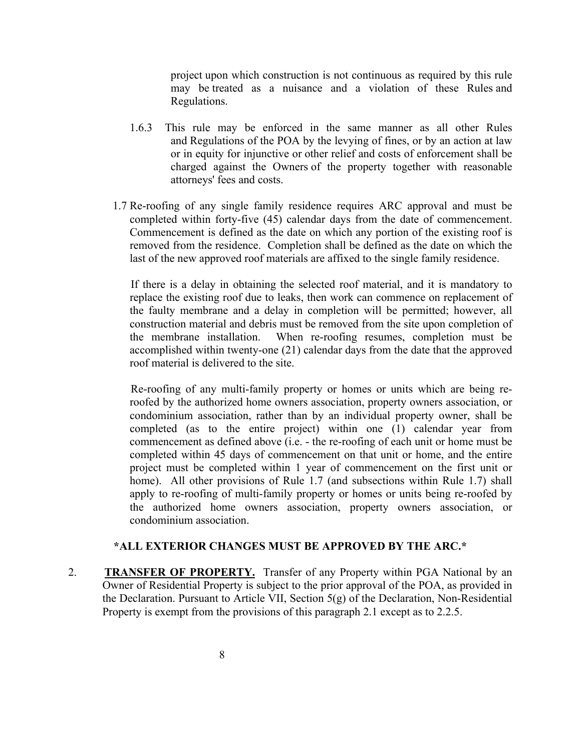project upon which construction is not continuous as required by this rule may be treated as a nuisance and a violation of these Rules and Regulations.

- 1.6.3 This rule may be enforced in the same manner as all other Rules and Regulations of the POA by the levying of fines, or by an action at law or in equity for injunctive or other relief and costs of enforcement shall be charged against the Owners of the property together with reasonable attorneys' fees and costs.
- 1.7 Re-roofing of any single family residence requires ARC approval and must be completed within forty-five (45) calendar days from the date of commencement. Commencement is defined as the date on which any portion of the existing roof is removed from the residence. Completion shall be defined as the date on which the last of the new approved roof materials are affixed to the single family residence.

If there is a delay in obtaining the selected roof material, and it is mandatory to replace the existing roof due to leaks, then work can commence on replacement of the faulty membrane and a delay in completion will be permitted; however, all construction material and debris must be removed from the site upon completion of the membrane installation. When re-roofing resumes, completion must be accomplished within twenty-one  $(21)$  calendar days from the date that the approved roof material is delivered to the site.

Re-roofing of any multi-family property or homes or units which are being reroofed by the authorized home owners association, property owners association, or condominium association, rather than by an individual property owner, shall be completed (as to the entire project) within one (1) calendar year from commencement as defined above (i.e. - the re-roofing of each unit or home must be completed within 45 days of commencement on that unit or home, and the entire project must be completed within 1 year of commencement on the first unit or home). All other provisions of Rule 1.7 (and subsections within Rule 1.7) shall apply to re-roofing of multi-family property or homes or units being re-roofed by the authorized home owners association, property owners association, or condominium association.

#### **\*ALL EXTERIOR CHANGES MUST BE APPROVED BY THE ARC.\***

2. **TRANSFER OF PROPERTY.** Transfer of any Property within PGA National by an Owner of Residential Property is subject to the prior approval of the POA, as provided in the Declaration. Pursuant to Article VII, Section  $5(g)$  of the Declaration, Non-Residential Property is exempt from the provisions of this paragraph 2.1 except as to 2.2.5.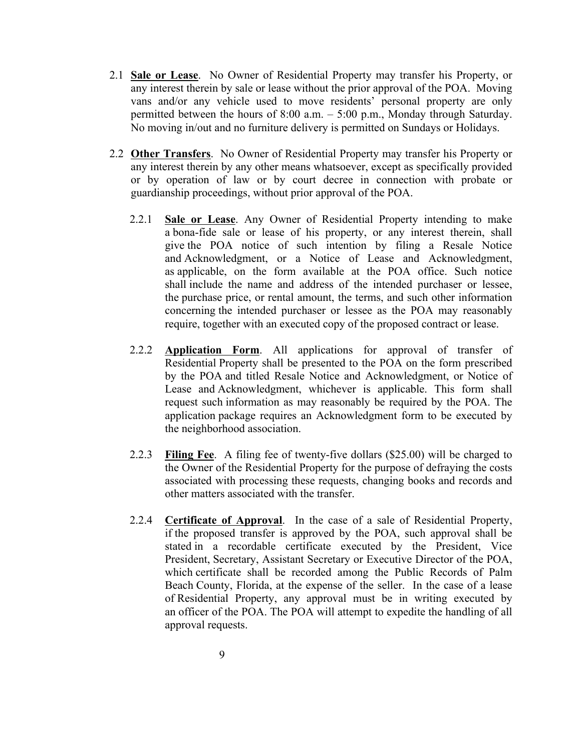- 2.1 **Sale or Lease**. No Owner of Residential Property may transfer his Property, or any interest therein by sale or lease without the prior approval of the POA. Moving vans and/or any vehicle used to move residents' personal property are only permitted between the hours of 8:00 a.m. – 5:00 p.m., Monday through Saturday. No moving in/out and no furniture delivery is permitted on Sundays or Holidays.
- 2.2 **Other Transfers**. No Owner of Residential Property may transfer his Property or any interest therein by any other means whatsoever, except as specifically provided or by operation of law or by court decree in connection with probate or guardianship proceedings, without prior approval of the POA.
	- 2.2.1 **Sale or Lease**. Any Owner of Residential Property intending to make a bona-fide sale or lease of his property, or any interest therein, shall give the POA notice of such intention by filing a Resale Notice and Acknowledgment, or a Notice of Lease and Acknowledgment, as applicable, on the form available at the POA office. Such notice shall include the name and address of the intended purchaser or lessee, the purchase price, or rental amount, the terms, and such other information concerning the intended purchaser or lessee as the POA may reasonably require, together with an executed copy of the proposed contract or lease.
	- 2.2.2 **Application Form**. All applications for approval of transfer of Residential Property shall be presented to the POA on the form prescribed by the POA and titled Resale Notice and Acknowledgment, or Notice of Lease and Acknowledgment, whichever is applicable. This form shall request such information as may reasonably be required by the POA. The application package requires an Acknowledgment form to be executed by the neighborhood association.
	- 2.2.3 **Filing Fee**. A filing fee of twenty-five dollars (\$25.00) will be charged to the Owner of the Residential Property for the purpose of defraying the costs associated with processing these requests, changing books and records and other matters associated with the transfer.
	- 2.2.4 **Certificate of Approval**. In the case of a sale of Residential Property, if the proposed transfer is approved by the POA, such approval shall be stated in a recordable certificate executed by the President, Vice President, Secretary, Assistant Secretary or Executive Director of the POA, which certificate shall be recorded among the Public Records of Palm Beach County, Florida, at the expense of the seller. In the case of a lease of Residential Property, any approval must be in writing executed by an officer of the POA. The POA will attempt to expedite the handling of all approval requests.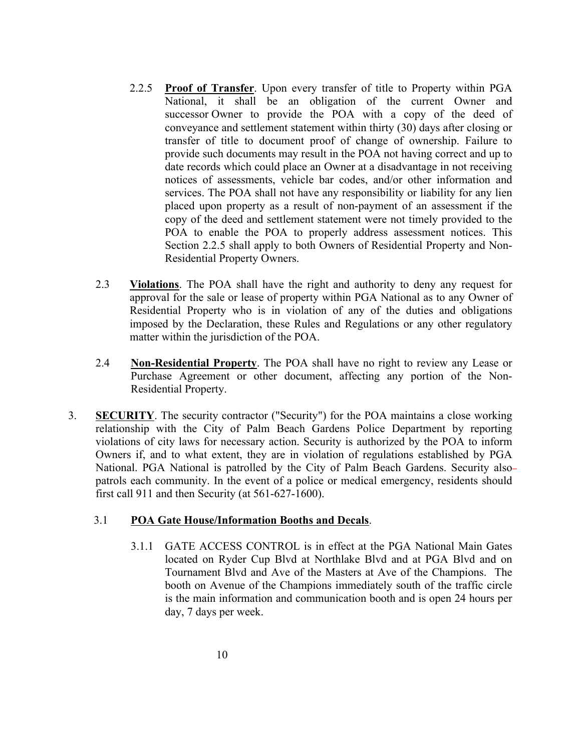- 2.2.5 **Proof of Transfer**. Upon every transfer of title to Property within PGA National, it shall be an obligation of the current Owner and successor Owner to provide the POA with a copy of the deed of conveyance and settlement statement within thirty (30) days after closing or transfer of title to document proof of change of ownership. Failure to provide such documents may result in the POA not having correct and up to date records which could place an Owner at a disadvantage in not receiving notices of assessments, vehicle bar codes, and/or other information and services. The POA shall not have any responsibility or liability for any lien placed upon property as a result of non-payment of an assessment if the copy of the deed and settlement statement were not timely provided to the POA to enable the POA to properly address assessment notices. This Section 2.2.5 shall apply to both Owners of Residential Property and Non-Residential Property Owners.
- 2.3 **Violations**. The POA shall have the right and authority to deny any request for approval for the sale or lease of property within PGA National as to any Owner of Residential Property who is in violation of any of the duties and obligations imposed by the Declaration, these Rules and Regulations or any other regulatory matter within the jurisdiction of the POA.
- 2.4 **Non-Residential Property**. The POA shall have no right to review any Lease or Purchase Agreement or other document, affecting any portion of the Non-Residential Property.
- 3. **SECURITY**. The security contractor ("Security") for the POA maintains a close working relationship with the City of Palm Beach Gardens Police Department by reporting violations of city laws for necessary action. Security is authorized by the POA to inform Owners if, and to what extent, they are in violation of regulations established by PGA National. PGA National is patrolled by the City of Palm Beach Gardens. Security alsopatrols each community. In the event of a police or medical emergency, residents should first call 911 and then Security (at  $561-627-1600$ ).

#### 3.1 **POA Gate House/Information Booths and Decals**.

3.1.1 GATE ACCESS CONTROL is in effect at the PGA National Main Gates located on Ryder Cup Blvd at Northlake Blvd and at PGA Blvd and on Tournament Blvd and Ave of the Masters at Ave of the Champions. The booth on Avenue of the Champions immediately south of the traffic circle is the main information and communication booth and is open 24 hours per day, 7 days per week.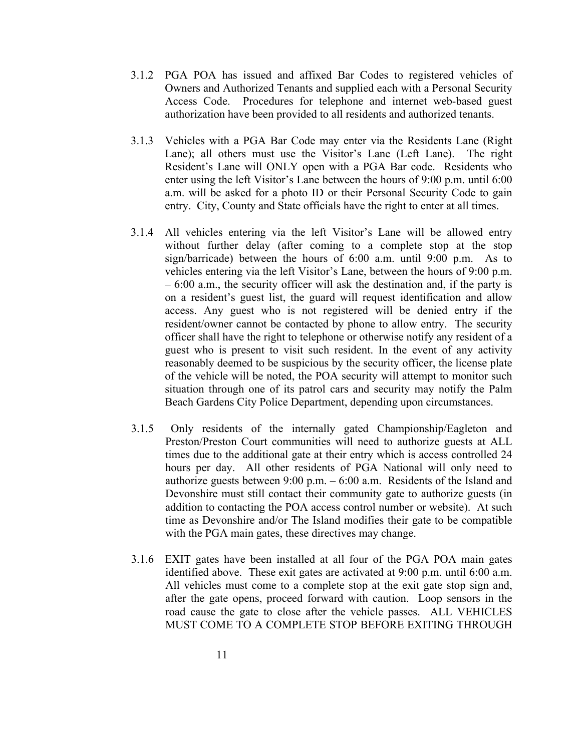- 3.1.2 PGA POA has issued and affixed Bar Codes to registered vehicles of Owners and Authorized Tenants and supplied each with a Personal Security Access Code. Procedures for telephone and internet web-based guest authorization have been provided to all residents and authorized tenants.
- 3.1.3 Vehicles with a PGA Bar Code may enter via the Residents Lane (Right Lane); all others must use the Visitor's Lane (Left Lane). The right Resident's Lane will ONLY open with a PGA Bar code. Residents who enter using the left Visitor's Lane between the hours of 9:00 p.m. until 6:00 a.m. will be asked for a photo ID or their Personal Security Code to gain entry. City, County and State officials have the right to enter at all times.
- 3.1.4 All vehicles entering via the left Visitor's Lane will be allowed entry without further delay (after coming to a complete stop at the stop sign/barricade) between the hours of 6:00 a.m. until 9:00 p.m. As to vehicles entering via the left Visitor's Lane, between the hours of 9:00 p.m. – 6:00 a.m., the security officer will ask the destination and, if the party is on a resident's guest list, the guard will request identification and allow access. Any guest who is not registered will be denied entry if the resident/owner cannot be contacted by phone to allow entry. The security officer shall have the right to telephone or otherwise notify any resident of a guest who is present to visit such resident. In the event of any activity reasonably deemed to be suspicious by the security officer, the license plate of the vehicle will be noted, the POA security will attempt to monitor such situation through one of its patrol cars and security may notify the Palm Beach Gardens City Police Department, depending upon circumstances.
- 3.1.5 Only residents of the internally gated Championship/Eagleton and Preston/Preston Court communities will need to authorize guests at ALL times due to the additional gate at their entry which is access controlled 24 hours per day. All other residents of PGA National will only need to authorize guests between  $9:00$  p.m.  $-6:00$  a.m. Residents of the Island and Devonshire must still contact their community gate to authorize guests (in addition to contacting the POA access control number or website). At such time as Devonshire and/or The Island modifies their gate to be compatible with the PGA main gates, these directives may change.
- 3.1.6 EXIT gates have been installed at all four of the PGA POA main gates identified above. These exit gates are activated at 9:00 p.m. until 6:00 a.m. All vehicles must come to a complete stop at the exit gate stop sign and, after the gate opens, proceed forward with caution. Loop sensors in the road cause the gate to close after the vehicle passes. ALL VEHICLES MUST COME TO A COMPLETE STOP BEFORE EXITING THROUGH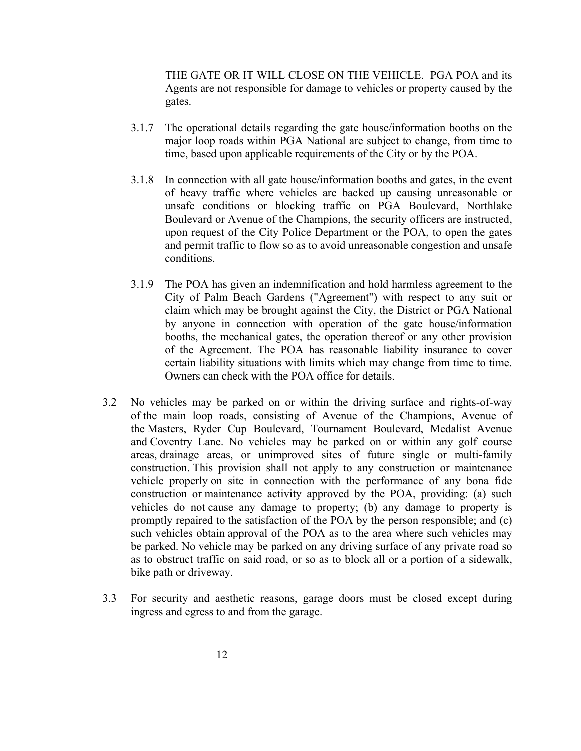THE GATE OR IT WILL CLOSE ON THE VEHICLE. PGA POA and its Agents are not responsible for damage to vehicles or property caused by the gates.

- 3.1.7 The operational details regarding the gate house/information booths on the major loop roads within PGA National are subject to change, from time to time, based upon applicable requirements of the City or by the POA.
- 3.1.8 In connection with all gate house/information booths and gates, in the event of heavy traffic where vehicles are backed up causing unreasonable or unsafe conditions or blocking traffic on PGA Boulevard, Northlake Boulevard or Avenue of the Champions, the security officers are instructed, upon request of the City Police Department or the POA, to open the gates and permit traffic to flow so as to avoid unreasonable congestion and unsafe conditions.
- 3.1.9 The POA has given an indemnification and hold harmless agreement to the City of Palm Beach Gardens ("Agreement") with respect to any suit or claim which may be brought against the City, the District or PGA National by anyone in connection with operation of the gate house/information booths, the mechanical gates, the operation thereof or any other provision of the Agreement. The POA has reasonable liability insurance to cover certain liability situations with limits which may change from time to time. Owners can check with the POA office for details.
- 3.2 No vehicles may be parked on or within the driving surface and rights-of-way of the main loop roads, consisting of Avenue of the Champions, Avenue of the Masters, Ryder Cup Boulevard, Tournament Boulevard, Medalist Avenue and Coventry Lane. No vehicles may be parked on or within any golf course areas, drainage areas, or unimproved sites of future single or multi-family construction. This provision shall not apply to any construction or maintenance vehicle properly on site in connection with the performance of any bona fide construction or maintenance activity approved by the POA, providing: (a) such vehicles do not cause any damage to property; (b) any damage to property is promptly repaired to the satisfaction of the POA by the person responsible; and (c) such vehicles obtain approval of the POA as to the area where such vehicles may be parked. No vehicle may be parked on any driving surface of any private road so as to obstruct traffic on said road, or so as to block all or a portion of a sidewalk, bike path or driveway.
- 3.3 For security and aesthetic reasons, garage doors must be closed except during ingress and egress to and from the garage.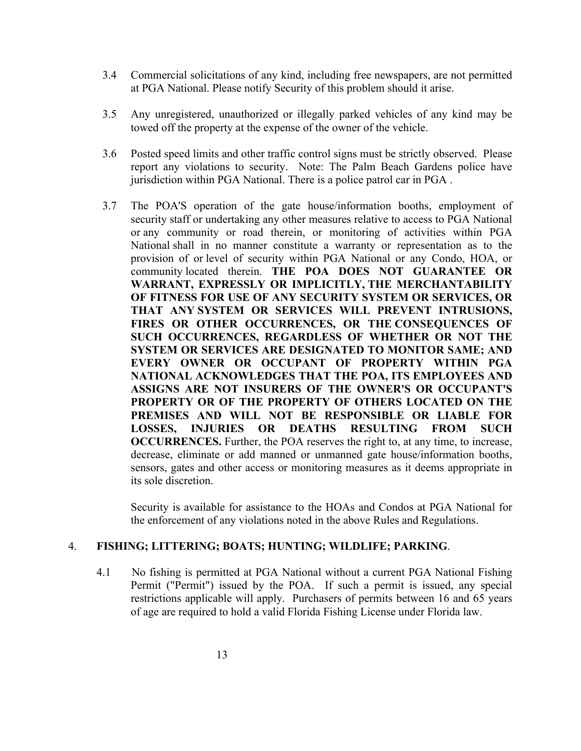- 3.4 Commercial solicitations of any kind, including free newspapers, are not permitted at PGA National. Please notify Security of this problem should it arise.
- 3.5 Any unregistered, unauthorized or illegally parked vehicles of any kind may be towed off the property at the expense of the owner of the vehicle.
- 3.6 Posted speed limits and other traffic control signs must be strictly observed. Please report any violations to security. Note: The Palm Beach Gardens police have jurisdiction within PGA National. There is a police patrol car in PGA .
- 3.7 The POA'S operation of the gate house/information booths, employment of security staff or undertaking any other measures relative to access to PGA National or any community or road therein, or monitoring of activities within PGA National shall in no manner constitute a warranty or representation as to the provision of or level of security within PGA National or any Condo, HOA, or community located therein. **THE POA DOES NOT GUARANTEE OR WARRANT, EXPRESSLY OR IMPLICITLY, THE MERCHANTABILITY OF FITNESS FOR USE OF ANY SECURITY SYSTEM OR SERVICES, OR THAT ANY SYSTEM OR SERVICES WILL PREVENT INTRUSIONS, FIRES OR OTHER OCCURRENCES, OR THE CONSEQUENCES OF SUCH OCCURRENCES, REGARDLESS OF WHETHER OR NOT THE SYSTEM OR SERVICES ARE DESIGNATED TO MONITOR SAME; AND EVERY OWNER OR OCCUPANT OF PROPERTY WITHIN PGA NATIONAL ACKNOWLEDGES THAT THE POA, ITS EMPLOYEES AND ASSIGNS ARE NOT INSURERS OF THE OWNER'S OR OCCUPANT'S PROPERTY OR OF THE PROPERTY OF OTHERS LOCATED ON THE PREMISES AND WILL NOT BE RESPONSIBLE OR LIABLE FOR LOSSES, INJURIES OR DEATHS RESULTING FROM SUCH OCCURRENCES.** Further, the POA reserves the right to, at any time, to increase, decrease, eliminate or add manned or unmanned gate house/information booths, sensors, gates and other access or monitoring measures as it deems appropriate in its sole discretion.

Security is available for assistance to the HOAs and Condos at PGA National for the enforcement of any violations noted in the above Rules and Regulations.

#### 4. **FISHING; LITTERING; BOATS; HUNTING; WILDLIFE; PARKING**.

4.1 No fishing is permitted at PGA National without a current PGA National Fishing Permit ("Permit") issued by the POA. If such a permit is issued, any special restrictions applicable will apply. Purchasers of permits between 16 and 65 years of age are required to hold a valid Florida Fishing License under Florida law.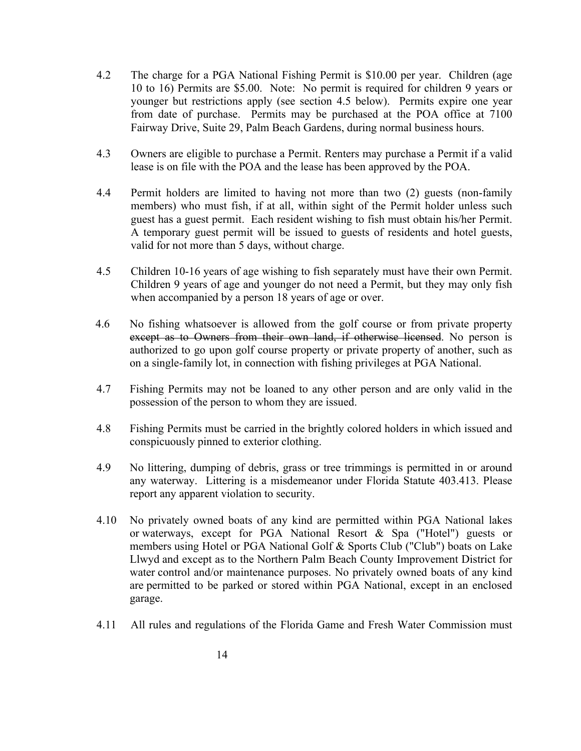- 4.2 The charge for a PGA National Fishing Permit is \$10.00 per year. Children (age 10 to 16) Permits are \$5.00. Note: No permit is required for children 9 years or younger but restrictions apply (see section 4.5 below). Permits expire one year from date of purchase. Permits may be purchased at the POA office at 7100 Fairway Drive, Suite 29, Palm Beach Gardens, during normal business hours.
- 4.3 Owners are eligible to purchase a Permit. Renters may purchase a Permit if a valid lease is on file with the POA and the lease has been approved by the POA.
- 4.4 Permit holders are limited to having not more than two (2) guests (non-family members) who must fish, if at all, within sight of the Permit holder unless such guest has a guest permit. Each resident wishing to fish must obtain his/her Permit. A temporary guest permit will be issued to guests of residents and hotel guests, valid for not more than 5 days, without charge.
- 4.5 Children 10-16 years of age wishing to fish separately must have their own Permit. Children 9 years of age and younger do not need a Permit, but they may only fish when accompanied by a person 18 years of age or over.
- 4.6 No fishing whatsoever is allowed from the golf course or from private property except as to Owners from their own land, if otherwise licensed. No person is authorized to go upon golf course property or private property of another, such as on a single-family lot, in connection with fishing privileges at PGA National.
- 4.7 Fishing Permits may not be loaned to any other person and are only valid in the possession of the person to whom they are issued.
- 4.8 Fishing Permits must be carried in the brightly colored holders in which issued and conspicuously pinned to exterior clothing.
- 4.9 No littering, dumping of debris, grass or tree trimmings is permitted in or around any waterway. Littering is a misdemeanor under Florida Statute 403.413. Please report any apparent violation to security.
- 4.10 No privately owned boats of any kind are permitted within PGA National lakes or waterways, except for PGA National Resort & Spa ("Hotel") guests or members using Hotel or PGA National Golf & Sports Club ("Club") boats on Lake Llwyd and except as to the Northern Palm Beach County Improvement District for water control and/or maintenance purposes. No privately owned boats of any kind are permitted to be parked or stored within PGA National, except in an enclosed garage.
- 4.11 All rules and regulations of the Florida Game and Fresh Water Commission must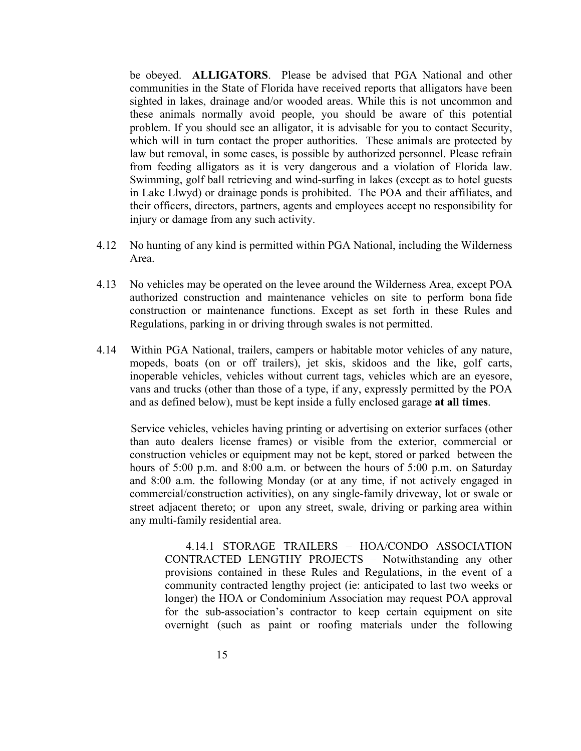be obeyed. **ALLIGATORS**. Please be advised that PGA National and other communities in the State of Florida have received reports that alligators have been sighted in lakes, drainage and/or wooded areas. While this is not uncommon and these animals normally avoid people, you should be aware of this potential problem. If you should see an alligator, it is advisable for you to contact Security, which will in turn contact the proper authorities. These animals are protected by law but removal, in some cases, is possible by authorized personnel. Please refrain from feeding alligators as it is very dangerous and a violation of Florida law. Swimming, golf ball retrieving and wind-surfing in lakes (except as to hotel guests in Lake Llwyd) or drainage ponds is prohibited. The POA and their affiliates, and their officers, directors, partners, agents and employees accept no responsibility for injury or damage from any such activity.

- 4.12 No hunting of any kind is permitted within PGA National, including the Wilderness Area.
- 4.13 No vehicles may be operated on the levee around the Wilderness Area, except POA authorized construction and maintenance vehicles on site to perform bona fide construction or maintenance functions. Except as set forth in these Rules and Regulations, parking in or driving through swales is not permitted.
- 4.14 Within PGA National, trailers, campers or habitable motor vehicles of any nature, mopeds, boats (on or off trailers), jet skis, skidoos and the like, golf carts, inoperable vehicles, vehicles without current tags, vehicles which are an eyesore, vans and trucks (other than those of a type, if any, expressly permitted by the POA and as defined below), must be kept inside a fully enclosed garage **at all times**.

Service vehicles, vehicles having printing or advertising on exterior surfaces (other than auto dealers license frames) or visible from the exterior, commercial or construction vehicles or equipment may not be kept, stored or parked between the hours of 5:00 p.m. and 8:00 a.m. or between the hours of 5:00 p.m. on Saturday and 8:00 a.m. the following Monday (or at any time, if not actively engaged in commercial/construction activities), on any single-family driveway, lot or swale or street adjacent thereto; or upon any street, swale, driving or parking area within any multi-family residential area.

4.14.1 STORAGE TRAILERS – HOA/CONDO ASSOCIATION CONTRACTED LENGTHY PROJECTS – Notwithstanding any other provisions contained in these Rules and Regulations, in the event of a community contracted lengthy project (ie: anticipated to last two weeks or longer) the HOA or Condominium Association may request POA approval for the sub-association's contractor to keep certain equipment on site overnight (such as paint or roofing materials under the following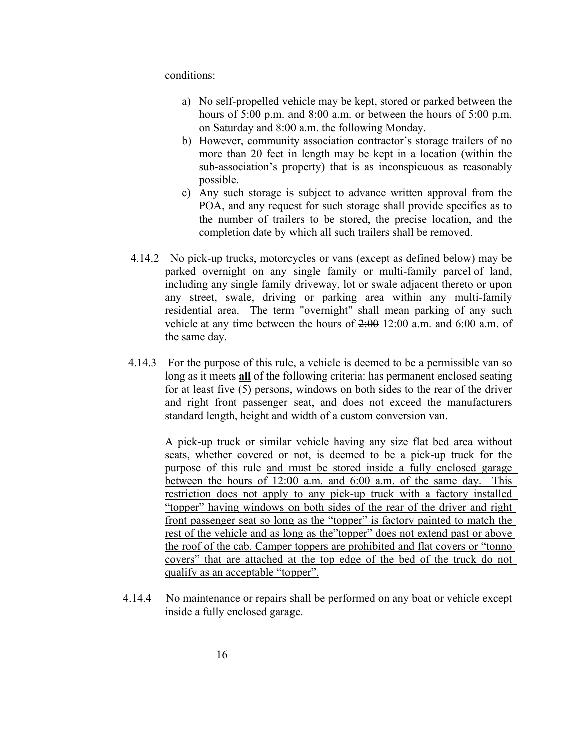conditions:

- a) No self-propelled vehicle may be kept, stored or parked between the hours of 5:00 p.m. and 8:00 a.m. or between the hours of 5:00 p.m. on Saturday and 8:00 a.m. the following Monday.
- b) However, community association contractor's storage trailers of no more than 20 feet in length may be kept in a location (within the sub-association's property) that is as inconspicuous as reasonably possible.
- c) Any such storage is subject to advance written approval from the POA, and any request for such storage shall provide specifics as to the number of trailers to be stored, the precise location, and the completion date by which all such trailers shall be removed.
- 4.14.2 No pick-up trucks, motorcycles or vans (except as defined below) may be parked overnight on any single family or multi-family parcel of land, including any single family driveway, lot or swale adjacent thereto or upon any street, swale, driving or parking area within any multi-family residential area. The term "overnight" shall mean parking of any such vehicle at any time between the hours of 2:00 12:00 a.m. and 6:00 a.m. of the same day.
- 4.14.3 For the purpose of this rule, a vehicle is deemed to be a permissible van so long as it meets **all** of the following criteria: has permanent enclosed seating for at least five (5) persons, windows on both sides to the rear of the driver and right front passenger seat, and does not exceed the manufacturers standard length, height and width of a custom conversion van.

A pick-up truck or similar vehicle having any size flat bed area without seats, whether covered or not, is deemed to be a pick-up truck for the purpose of this rule and must be stored inside a fully enclosed garage between the hours of 12:00 a.m. and 6:00 a.m. of the same day. This restriction does not apply to any pick-up truck with a factory installed "topper" having windows on both sides of the rear of the driver and right front passenger seat so long as the "topper" is factory painted to match the rest of the vehicle and as long as the"topper" does not extend past or above the roof of the cab. Camper toppers are prohibited and flat covers or "tonno covers" that are attached at the top edge of the bed of the truck do not qualify as an acceptable "topper".

4.14.4 No maintenance or repairs shall be performed on any boat or vehicle except inside a fully enclosed garage.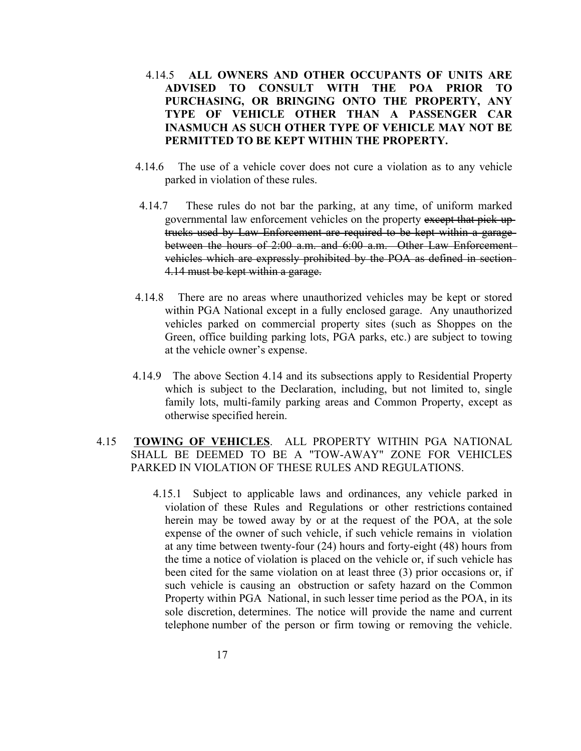- 4.14.5 **ALL OWNERS AND OTHER OCCUPANTS OF UNITS ARE ADVISED TO CONSULT WITH THE POA PRIOR TO PURCHASING, OR BRINGING ONTO THE PROPERTY, ANY TYPE OF VEHICLE OTHER THAN A PASSENGER CAR INASMUCH AS SUCH OTHER TYPE OF VEHICLE MAY NOT BE PERMITTED TO BE KEPT WITHIN THE PROPERTY.**
- 4.14.6 The use of a vehicle cover does not cure a violation as to any vehicle parked in violation of these rules.
- 4.14.7 These rules do not bar the parking, at any time, of uniform marked governmental law enforcement vehicles on the property except that pick-uptrucks used by Law Enforcement are required to be kept within a garage between the hours of 2:00 a.m. and 6:00 a.m. Other Law Enforcement vehicles which are expressly prohibited by the POA as defined in section-4.14 must be kept within a garage.
- 4.14.8 There are no areas where unauthorized vehicles may be kept or stored within PGA National except in a fully enclosed garage. Any unauthorized vehicles parked on commercial property sites (such as Shoppes on the Green, office building parking lots, PGA parks, etc.) are subject to towing at the vehicle owner's expense.
- 4.14.9 The above Section 4.14 and its subsections apply to Residential Property which is subject to the Declaration, including, but not limited to, single family lots, multi-family parking areas and Common Property, except as otherwise specified herein.

#### 4.15 **TOWING OF VEHICLES**. ALL PROPERTY WITHIN PGA NATIONAL SHALL BE DEEMED TO BE A "TOW-AWAY" ZONE FOR VEHICLES PARKED IN VIOLATION OF THESE RULES AND REGULATIONS.

4.15.1 Subject to applicable laws and ordinances, any vehicle parked in violation of these Rules and Regulations or other restrictions contained herein may be towed away by or at the request of the POA, at the sole expense of the owner of such vehicle, if such vehicle remains in violation at any time between twenty-four  $(24)$  hours and forty-eight  $(48)$  hours from the time a notice of violation is placed on the vehicle or, if such vehicle has been cited for the same violation on at least three (3) prior occasions or, if such vehicle is causing an obstruction or safety hazard on the Common Property within PGA National, in such lesser time period as the POA, in its sole discretion, determines. The notice will provide the name and current telephone number of the person or firm towing or removing the vehicle.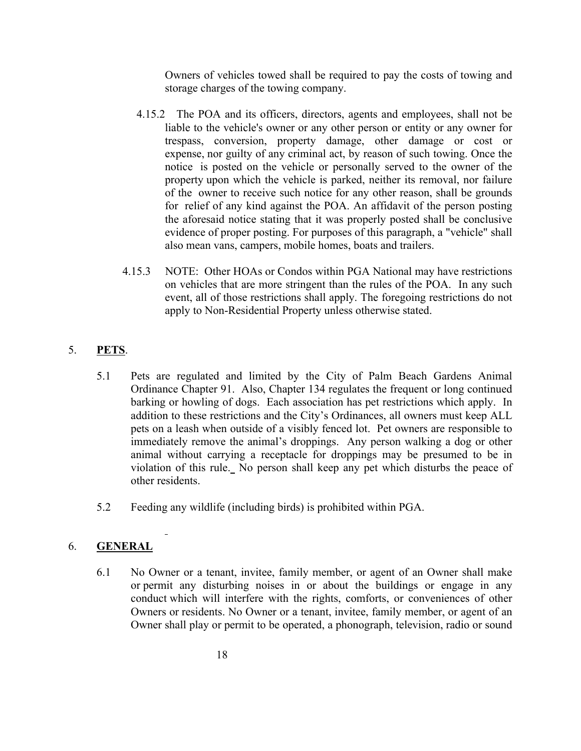Owners of vehicles towed shall be required to pay the costs of towing and storage charges of the towing company.

- 4.15.2 The POA and its officers, directors, agents and employees, shall not be liable to the vehicle's owner or any other person or entity or any owner for trespass, conversion, property damage, other damage or cost or expense, nor guilty of any criminal act, by reason of such towing. Once the notice is posted on the vehicle or personally served to the owner of the property upon which the vehicle is parked, neither its removal, nor failure of the owner to receive such notice for any other reason, shall be grounds for relief of any kind against the POA. An affidavit of the person posting the aforesaid notice stating that it was properly posted shall be conclusive evidence of proper posting. For purposes of this paragraph, a "vehicle" shall also mean vans, campers, mobile homes, boats and trailers.
- 4.15.3 NOTE: Other HOAs or Condos within PGA National may have restrictions on vehicles that are more stringent than the rules of the POA. In any such event, all of those restrictions shall apply. The foregoing restrictions do not apply to Non-Residential Property unless otherwise stated.

## 5. **PETS**.

- 5.1 Pets are regulated and limited by the City of Palm Beach Gardens Animal Ordinance Chapter 91. Also, Chapter 134 regulates the frequent or long continued barking or howling of dogs. Each association has pet restrictions which apply. In addition to these restrictions and the City's Ordinances, all owners must keep ALL pets on a leash when outside of a visibly fenced lot. Pet owners are responsible to immediately remove the animal's droppings. Any person walking a dog or other animal without carrying a receptacle for droppings may be presumed to be in violation of this rule. No person shall keep any pet which disturbs the peace of other residents.
- 5.2 Feeding any wildlife (including birds) is prohibited within PGA.

## 6. **GENERAL**

6.1 No Owner or a tenant, invitee, family member, or agent of an Owner shall make or permit any disturbing noises in or about the buildings or engage in any conduct which will interfere with the rights, comforts, or conveniences of other Owners or residents. No Owner or a tenant, invitee, family member, or agent of an Owner shall play or permit to be operated, a phonograph, television, radio or sound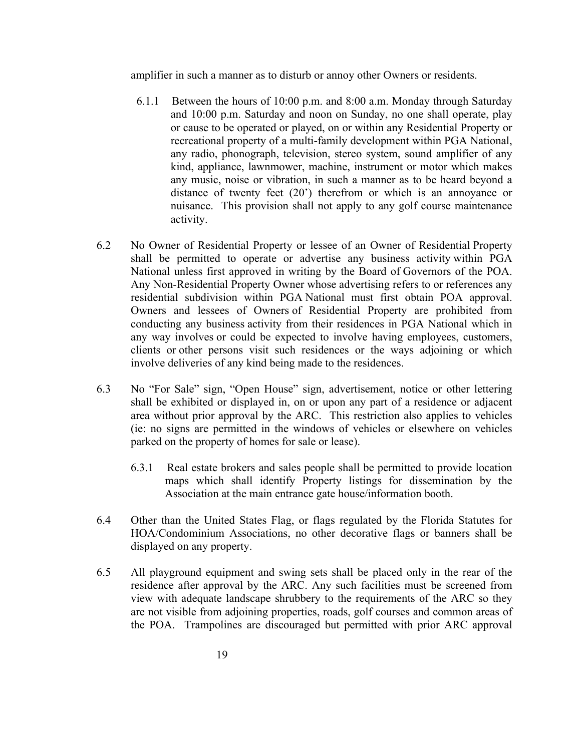amplifier in such a manner as to disturb or annoy other Owners or residents.

- 6.1.1 Between the hours of 10:00 p.m. and 8:00 a.m. Monday through Saturday and 10:00 p.m. Saturday and noon on Sunday, no one shall operate, play or cause to be operated or played, on or within any Residential Property or recreational property of a multi-family development within PGA National, any radio, phonograph, television, stereo system, sound amplifier of any kind, appliance, lawnmower, machine, instrument or motor which makes any music, noise or vibration, in such a manner as to be heard beyond a distance of twenty feet (20<sup>'</sup>) therefrom or which is an annoyance or nuisance. This provision shall not apply to any golf course maintenance activity.
- 6.2 No Owner of Residential Property or lessee of an Owner of Residential Property shall be permitted to operate or advertise any business activity within PGA National unless first approved in writing by the Board of Governors of the POA. Any Non-Residential Property Owner whose advertising refers to or references any residential subdivision within PGA National must first obtain POA approval. Owners and lessees of Owners of Residential Property are prohibited from conducting any business activity from their residences in PGA National which in any way involves or could be expected to involve having employees, customers, clients or other persons visit such residences or the ways adjoining or which involve deliveries of any kind being made to the residences.
- 6.3 No "For Sale" sign, "Open House" sign, advertisement, notice or other lettering shall be exhibited or displayed in, on or upon any part of a residence or adjacent area without prior approval by the ARC. This restriction also applies to vehicles (ie: no signs are permitted in the windows of vehicles or elsewhere on vehicles parked on the property of homes for sale or lease).
	- 6.3.1 Real estate brokers and sales people shall be permitted to provide location maps which shall identify Property listings for dissemination by the Association at the main entrance gate house/information booth.
- 6.4 Other than the United States Flag, or flags regulated by the Florida Statutes for HOA/Condominium Associations, no other decorative flags or banners shall be displayed on any property.
- 6.5 All playground equipment and swing sets shall be placed only in the rear of the residence after approval by the ARC. Any such facilities must be screened from view with adequate landscape shrubbery to the requirements of the ARC so they are not visible from adjoining properties, roads, golf courses and common areas of the POA. Trampolines are discouraged but permitted with prior ARC approval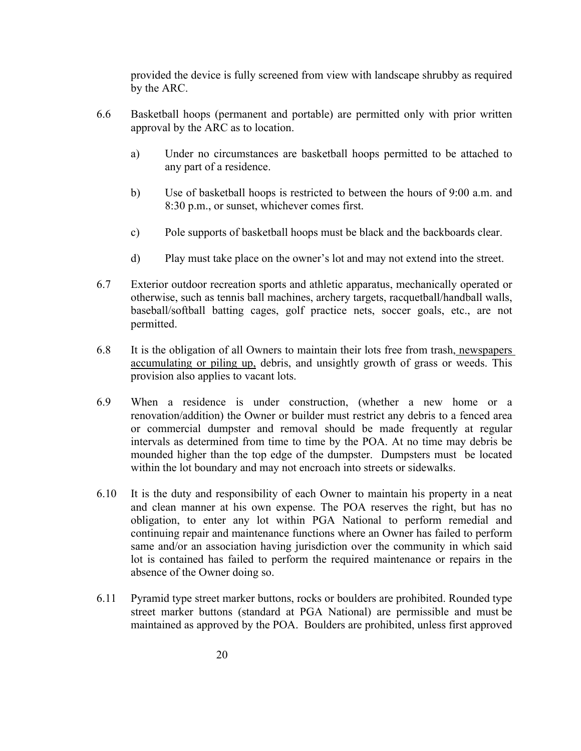provided the device is fully screened from view with landscape shrubby as required by the ARC.

- 6.6 Basketball hoops (permanent and portable) are permitted only with prior written approval by the ARC as to location.
	- a) Under no circumstances are basketball hoops permitted to be attached to any part of a residence.
	- b) Use of basketball hoops is restricted to between the hours of 9:00 a.m. and 8:30 p.m., or sunset, whichever comes first.
	- c) Pole supports of basketball hoops must be black and the backboards clear.
	- d) Play must take place on the owner's lot and may not extend into the street.
- 6.7 Exterior outdoor recreation sports and athletic apparatus, mechanically operated or otherwise, such as tennis ball machines, archery targets, racquetball/handball walls, baseball/softball batting cages, golf practice nets, soccer goals, etc., are not permitted.
- 6.8 It is the obligation of all Owners to maintain their lots free from trash, newspapers accumulating or piling up, debris, and unsightly growth of grass or weeds. This provision also applies to vacant lots.
- 6.9 When a residence is under construction, (whether a new home or a renovation/addition) the Owner or builder must restrict any debris to a fenced area or commercial dumpster and removal should be made frequently at regular intervals as determined from time to time by the POA. At no time may debris be mounded higher than the top edge of the dumpster. Dumpsters must be located within the lot boundary and may not encroach into streets or sidewalks.
- 6.10 It is the duty and responsibility of each Owner to maintain his property in a neat and clean manner at his own expense. The POA reserves the right, but has no obligation, to enter any lot within PGA National to perform remedial and continuing repair and maintenance functions where an Owner has failed to perform same and/or an association having jurisdiction over the community in which said lot is contained has failed to perform the required maintenance or repairs in the absence of the Owner doing so.
- 6.11 Pyramid type street marker buttons, rocks or boulders are prohibited. Rounded type street marker buttons (standard at PGA National) are permissible and must be maintained as approved by the POA. Boulders are prohibited, unless first approved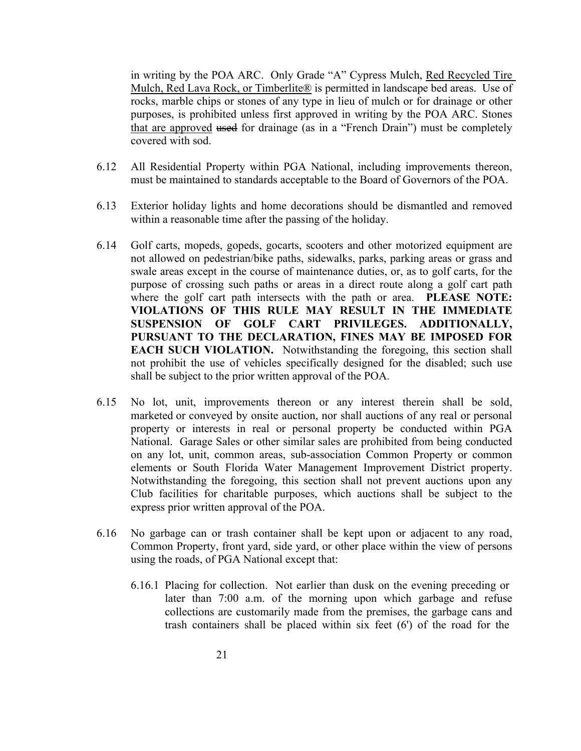in writing by the POA ARC. Only Grade "A" Cypress Mulch, Red Recycled Tire Mulch, Red Lava Rock, or Timberlite® is permitted in landscape bed areas. Use of rocks, marble chips or stones of any type in lieu of mulch or for drainage or other purposes, is prohibited unless first approved in writing by the POA ARC. Stones that are approved used for drainage (as in a "French Drain") must be completely covered with sod.

- 6.12 All Residential Property within PGA National, including improvements thereon, must be maintained to standards acceptable to the Board of Governors of the POA.
- 6.13 Exterior holiday lights and home decorations should be dismantled and removed within a reasonable time after the passing of the holiday.
- 6.14 Golf carts, mopeds, gopeds, gocarts, scooters and other motorized equipment are not allowed on pedestrian/bike paths, sidewalks, parks, parking areas or grass and swale areas except in the course of maintenance duties, or, as to golf carts, for the purpose of crossing such paths or areas in a direct route along a golf cart path where the golf cart path intersects with the path or area. **PLEASE NOTE: VIOLATIONS OF THIS RULE MAY RESULT IN THE IMMEDIATE SUSPENSION OF GOLF CART PRIVILEGES. ADDITIONALLY, PURSUANT TO THE DECLARATION, FINES MAY BE IMPOSED FOR EACH SUCH VIOLATION.**  Notwithstanding the foregoing, this section shall not prohibit the use of vehicles specifically designed for the disabled; such use shall be subject to the prior written approval of the POA.
- 6.15 No lot, unit, improvements thereon or any interest therein shall be sold, marketed or conveyed by onsite auction, nor shall auctions of any real or personal property or interests in real or personal property be conducted within PGA National. Garage Sales or other similar sales are prohibited from being conducted on any lot, unit, common areas, sub-association Common Property or common elements or South Florida Water Management Improvement District property. Notwithstanding the foregoing, this section shall not prevent auctions upon any Club facilities for charitable purposes, which auctions shall be subject to the express prior written approval of the POA.
- 6.16 No garbage can or trash container shall be kept upon or adjacent to any road, Common Property, front yard, side yard, or other place within the view of persons using the roads, of PGA National except that:
	- 6.16.1 Placing for collection. Not earlier than dusk on the evening preceding or later than 7:00 a.m. of the morning upon which garbage and refuse collections are customarily made from the premises, the garbage cans and trash containers shall be placed within six feet (6') of the road for the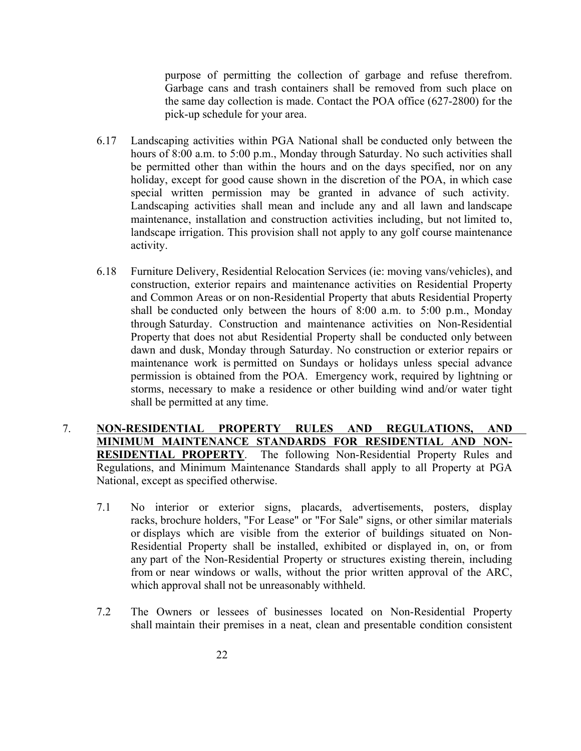purpose of permitting the collection of garbage and refuse therefrom. Garbage cans and trash containers shall be removed from such place on the same day collection is made. Contact the POA office (627-2800) for the pick-up schedule for your area.

- 6.17 Landscaping activities within PGA National shall be conducted only between the hours of 8:00 a.m. to 5:00 p.m., Monday through Saturday. No such activities shall be permitted other than within the hours and on the days specified, nor on any holiday, except for good cause shown in the discretion of the POA, in which case special written permission may be granted in advance of such activity. Landscaping activities shall mean and include any and all lawn and landscape maintenance, installation and construction activities including, but not limited to, landscape irrigation. This provision shall not apply to any golf course maintenance activity.
- 6.18 Furniture Delivery, Residential Relocation Services (ie: moving vans/vehicles), and construction, exterior repairs and maintenance activities on Residential Property and Common Areas or on non-Residential Property that abuts Residential Property shall be conducted only between the hours of 8:00 a.m. to 5:00 p.m., Monday through Saturday. Construction and maintenance activities on Non-Residential Property that does not abut Residential Property shall be conducted only between dawn and dusk, Monday through Saturday. No construction or exterior repairs or maintenance work is permitted on Sundays or holidays unless special advance permission is obtained from the POA. Emergency work, required by lightning or storms, necessary to make a residence or other building wind and/or water tight shall be permitted at any time.
- 7. **NONRESIDENTIAL PROPERTY RULES AND REGULATIONS, AND MINIMUM MAINTENANCE STANDARDS FOR RESIDENTIAL AND NON-RESIDENTIAL PROPERTY.** The following Non-Residential Property Rules and Regulations, and Minimum Maintenance Standards shall apply to all Property at PGA National, except as specified otherwise.
	- 7.1 No interior or exterior signs, placards, advertisements, posters, display racks, brochure holders, "For Lease" or "For Sale" signs, or other similar materials or displays which are visible from the exterior of buildings situated on Non-Residential Property shall be installed, exhibited or displayed in, on, or from any part of the Non-Residential Property or structures existing therein, including from or near windows or walls, without the prior written approval of the ARC, which approval shall not be unreasonably withheld.
	- 7.2 The Owners or lessees of businesses located on Non-Residential Property shall maintain their premises in a neat, clean and presentable condition consistent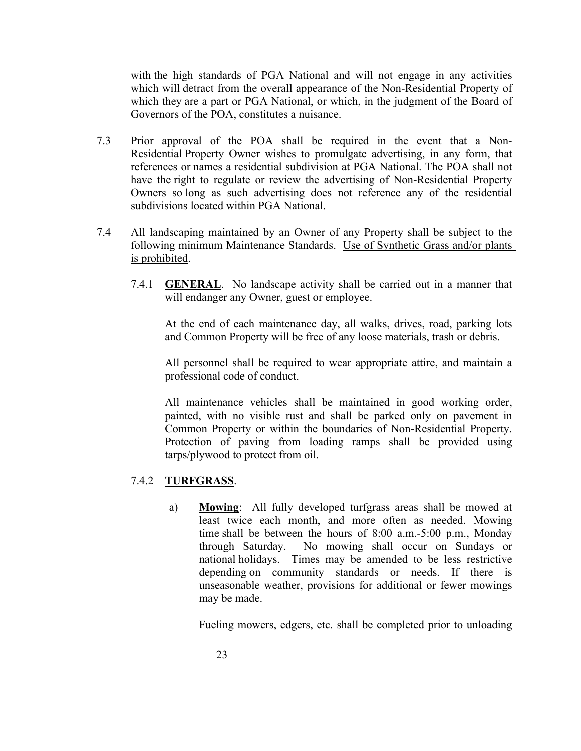with the high standards of PGA National and will not engage in any activities which will detract from the overall appearance of the Non-Residential Property of which they are a part or PGA National, or which, in the judgment of the Board of Governors of the POA, constitutes a nuisance.

- 7.3 Prior approval of the POA shall be required in the event that a Non-Residential Property Owner wishes to promulgate advertising, in any form, that references or names a residential subdivision at PGA National. The POA shall not have the right to regulate or review the advertising of Non-Residential Property Owners so long as such advertising does not reference any of the residential subdivisions located within PGA National.
- 7.4 All landscaping maintained by an Owner of any Property shall be subject to the following minimum Maintenance Standards. Use of Synthetic Grass and/or plants is prohibited.
	- 7.4.1 **GENERAL**. No landscape activity shall be carried out in a manner that will endanger any Owner, guest or employee.

At the end of each maintenance day, all walks, drives, road, parking lots and Common Property will be free of any loose materials, trash or debris.

All personnel shall be required to wear appropriate attire, and maintain a professional code of conduct.

All maintenance vehicles shall be maintained in good working order, painted, with no visible rust and shall be parked only on pavement in Common Property or within the boundaries of Non-Residential Property. Protection of paving from loading ramps shall be provided using tarps/plywood to protect from oil.

#### 7.4.2 **TURFGRASS**.

a) **Mowing**: All fully developed turfgrass areas shall be mowed at least twice each month, and more often as needed. Mowing time shall be between the hours of  $8:00$  a.m.-5:00 p.m., Monday through Saturday. No mowing shall occur on Sundays or national holidays. Times may be amended to be less restrictive depending on community standards or needs. If there is unseasonable weather, provisions for additional or fewer mowings may be made.

Fueling mowers, edgers, etc. shall be completed prior to unloading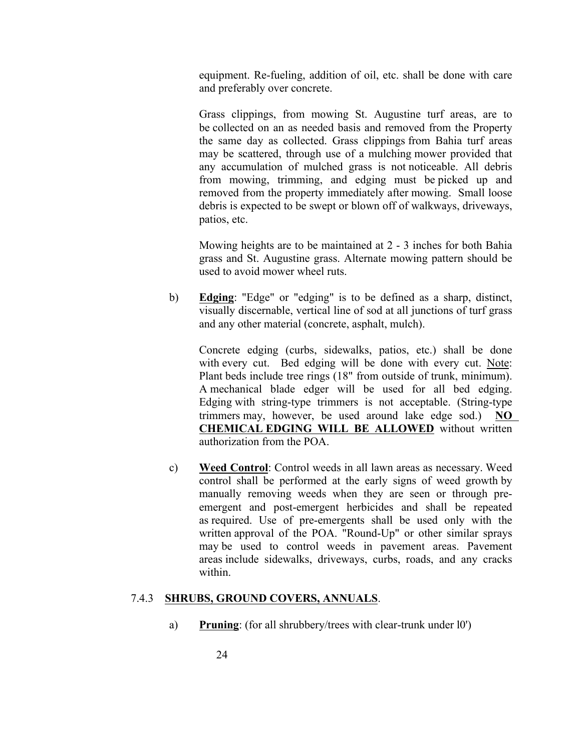equipment. Re-fueling, addition of oil, etc. shall be done with care and preferably over concrete.

Grass clippings, from mowing St. Augustine turf areas, are to be collected on an as needed basis and removed from the Property the same day as collected. Grass clippings from Bahia turf areas may be scattered, through use of a mulching mower provided that any accumulation of mulched grass is not noticeable. All debris from mowing, trimming, and edging must be picked up and removed from the property immediately after mowing. Small loose debris is expected to be swept or blown off of walkways, driveways, patios, etc.

Mowing heights are to be maintained at 2 - 3 inches for both Bahia grass and St. Augustine grass. Alternate mowing pattern should be used to avoid mower wheel ruts.

b) **Edging**: "Edge" or "edging" is to be defined as a sharp, distinct, visually discernable, vertical line of sod at all junctions of turf grass and any other material (concrete, asphalt, mulch).

Concrete edging (curbs, sidewalks, patios, etc.) shall be done with every cut. Bed edging will be done with every cut. Note: Plant beds include tree rings (18" from outside of trunk, minimum). A mechanical blade edger will be used for all bed edging. Edging with string-type trimmers is not acceptable. (String-type trimmers may, however, be used around lake edge sod.) **NO CHEMICAL EDGING WILL BE ALLOWED** without written authorization from the POA.

c) **Weed Control**: Control weeds in all lawn areas as necessary. Weed control shall be performed at the early signs of weed growth by manually removing weeds when they are seen or through preemergent and post-emergent herbicides and shall be repeated as required. Use of pre-emergents shall be used only with the written approval of the POA. "Round-Up" or other similar sprays may be used to control weeds in pavement areas. Pavement areas include sidewalks, driveways, curbs, roads, and any cracks within.

#### 7.4.3 **SHRUBS, GROUND COVERS, ANNUALS**.

a) **Pruning**: (for all shrubbery/trees with clear-trunk under l0')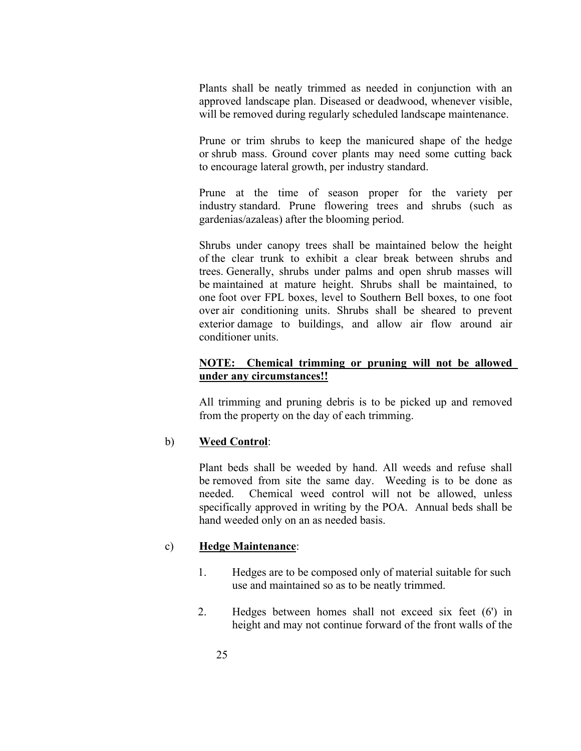Plants shall be neatly trimmed as needed in conjunction with an approved landscape plan. Diseased or deadwood, whenever visible, will be removed during regularly scheduled landscape maintenance.

Prune or trim shrubs to keep the manicured shape of the hedge or shrub mass. Ground cover plants may need some cutting back to encourage lateral growth, per industry standard.

Prune at the time of season proper for the variety per industry standard. Prune flowering trees and shrubs (such as gardenias/azaleas) after the blooming period.

Shrubs under canopy trees shall be maintained below the height of the clear trunk to exhibit a clear break between shrubs and trees. Generally, shrubs under palms and open shrub masses will be maintained at mature height. Shrubs shall be maintained, to one foot over FPL boxes, level to Southern Bell boxes, to one foot over air conditioning units. Shrubs shall be sheared to prevent exterior damage to buildings, and allow air flow around air conditioner units.

#### **NOTE: Chemical trimming or pruning will not be allowed under any circumstances!!**

All trimming and pruning debris is to be picked up and removed from the property on the day of each trimming.

#### b) **Weed Control**:

Plant beds shall be weeded by hand. All weeds and refuse shall be removed from site the same day. Weeding is to be done as needed. Chemical weed control will not be allowed, unless specifically approved in writing by the POA. Annual beds shall be hand weeded only on an as needed basis.

#### c) **Hedge Maintenance**:

- 1. Hedges are to be composed only of material suitable for such use and maintained so as to be neatly trimmed.
- 2. Hedges between homes shall not exceed six feet (6') in height and may not continue forward of the front walls of the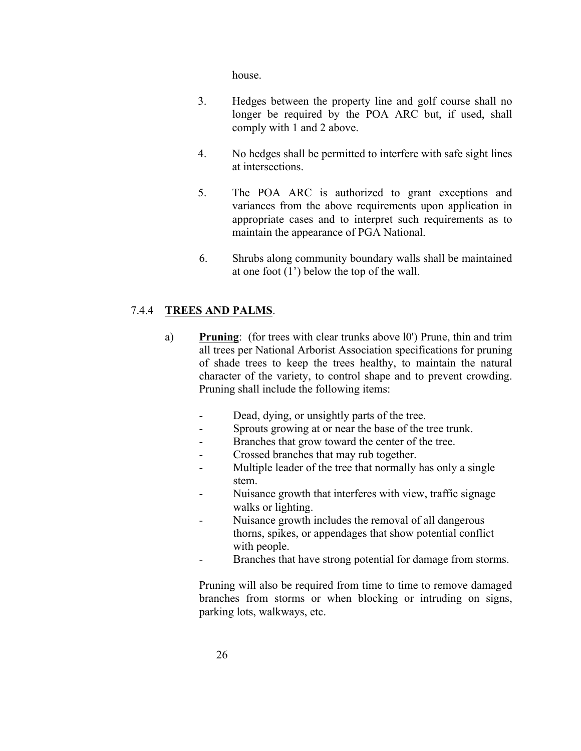house.

- 3. Hedges between the property line and golf course shall no longer be required by the POA ARC but, if used, shall comply with 1 and 2 above.
- 4. No hedges shall be permitted to interfere with safe sight lines at intersections.
- 5. The POA ARC is authorized to grant exceptions and variances from the above requirements upon application in appropriate cases and to interpret such requirements as to maintain the appearance of PGA National.
- 6. Shrubs along community boundary walls shall be maintained at one foot (1') below the top of the wall.

### 7.4.4 **TREES AND PALMS**.

- a) **Pruning**: (for trees with clear trunks above l0') Prune, thin and trim all trees per National Arborist Association specifications for pruning of shade trees to keep the trees healthy, to maintain the natural character of the variety, to control shape and to prevent crowding. Pruning shall include the following items:
	- Dead, dying, or unsightly parts of the tree.
	- Sprouts growing at or near the base of the tree trunk.
	- Branches that grow toward the center of the tree.
	- Crossed branches that may rub together.
	- Multiple leader of the tree that normally has only a single stem.
	- Nuisance growth that interferes with view, traffic signage walks or lighting.
	- Nuisance growth includes the removal of all dangerous thorns, spikes, or appendages that show potential conflict with people.
	- Branches that have strong potential for damage from storms.

Pruning will also be required from time to time to remove damaged branches from storms or when blocking or intruding on signs, parking lots, walkways, etc.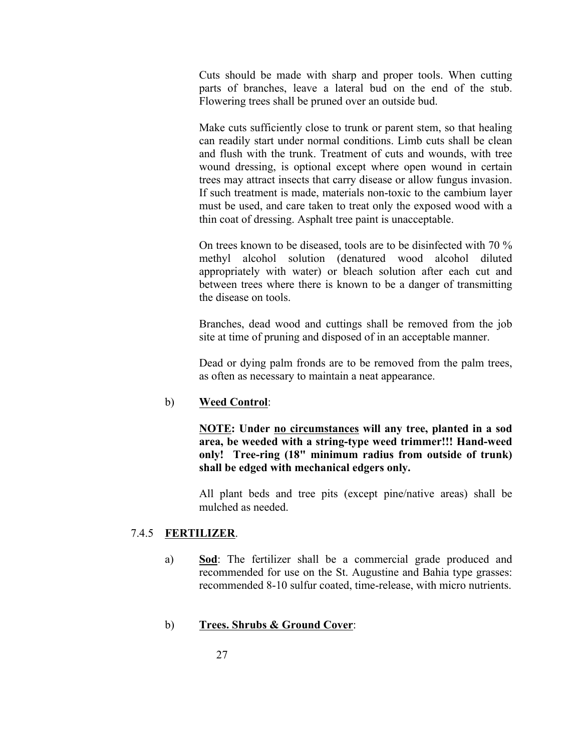Cuts should be made with sharp and proper tools. When cutting parts of branches, leave a lateral bud on the end of the stub. Flowering trees shall be pruned over an outside bud.

Make cuts sufficiently close to trunk or parent stem, so that healing can readily start under normal conditions. Limb cuts shall be clean and flush with the trunk. Treatment of cuts and wounds, with tree wound dressing, is optional except where open wound in certain trees may attract insects that carry disease or allow fungus invasion. If such treatment is made, materials non-toxic to the cambium layer must be used, and care taken to treat only the exposed wood with a thin coat of dressing. Asphalt tree paint is unacceptable.

On trees known to be diseased, tools are to be disinfected with 70 % methyl alcohol solution (denatured wood alcohol diluted appropriately with water) or bleach solution after each cut and between trees where there is known to be a danger of transmitting the disease on tools.

Branches, dead wood and cuttings shall be removed from the job site at time of pruning and disposed of in an acceptable manner.

Dead or dying palm fronds are to be removed from the palm trees, as often as necessary to maintain a neat appearance.

#### b) **Weed Control**:

**NOTE: Under no circumstances will any tree, planted in a sod**  area, be weeded with a string-type weed trimmer!!! Hand-weed **only!** Tree-ring (18" minimum radius from outside of trunk) **shall be edged with mechanical edgers only.**

All plant beds and tree pits (except pine/native areas) shall be mulched as needed.

#### 7.4.5 **FERTILIZER**.

a) **Sod**: The fertilizer shall be a commercial grade produced and recommended for use on the St. Augustine and Bahia type grasses: recommended 8-10 sulfur coated, time-release, with micro nutrients.

#### b) **Trees. Shrubs & Ground Cover**: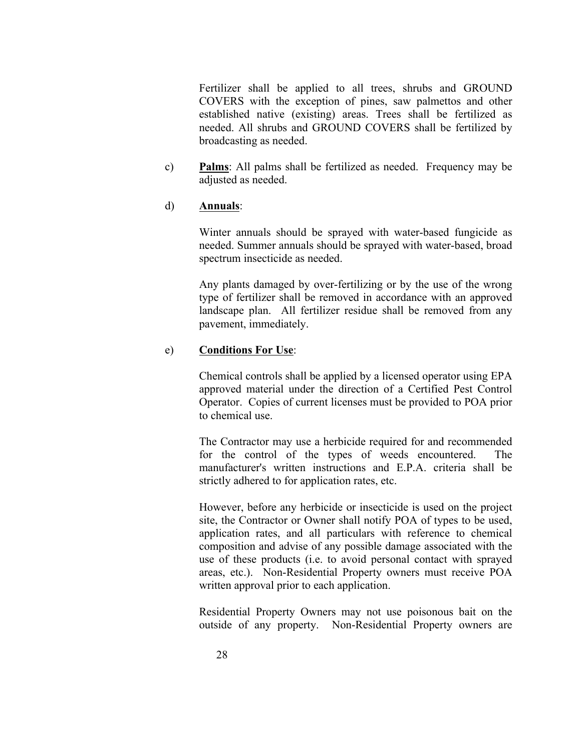Fertilizer shall be applied to all trees, shrubs and GROUND COVERS with the exception of pines, saw palmettos and other established native (existing) areas. Trees shall be fertilized as needed. All shrubs and GROUND COVERS shall be fertilized by broadcasting as needed.

c) **Palms**: All palms shall be fertilized as needed. Frequency may be adjusted as needed.

#### d) **Annuals**:

Winter annuals should be sprayed with water-based fungicide as needed. Summer annuals should be sprayed with water-based, broad spectrum insecticide as needed.

Any plants damaged by over-fertilizing or by the use of the wrong type of fertilizer shall be removed in accordance with an approved landscape plan. All fertilizer residue shall be removed from any pavement, immediately.

#### e) **Conditions For Use**:

Chemical controls shall be applied by a licensed operator using EPA approved material under the direction of a Certified Pest Control Operator. Copies of current licenses must be provided to POA prior to chemical use.

The Contractor may use a herbicide required for and recommended for the control of the types of weeds encountered. The manufacturer's written instructions and E.P.A. criteria shall be strictly adhered to for application rates, etc.

However, before any herbicide or insecticide is used on the project site, the Contractor or Owner shall notify POA of types to be used, application rates, and all particulars with reference to chemical composition and advise of any possible damage associated with the use of these products (i.e. to avoid personal contact with sprayed areas, etc.). Non-Residential Property owners must receive POA written approval prior to each application.

Residential Property Owners may not use poisonous bait on the outside of any property. Non-Residential Property owners are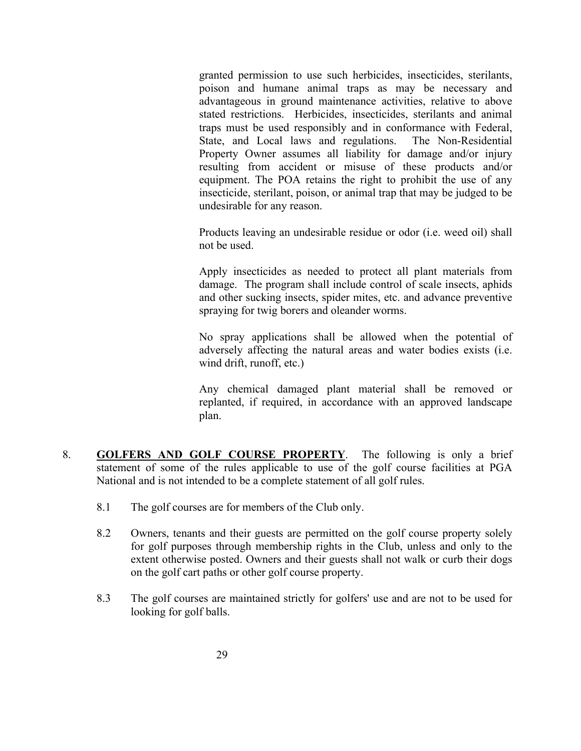granted permission to use such herbicides, insecticides, sterilants, poison and humane animal traps as may be necessary and advantageous in ground maintenance activities, relative to above stated restrictions. Herbicides, insecticides, sterilants and animal traps must be used responsibly and in conformance with Federal, State, and Local laws and regulations. The Non-Residential Property Owner assumes all liability for damage and/or injury resulting from accident or misuse of these products and/or equipment. The POA retains the right to prohibit the use of any insecticide, sterilant, poison, or animal trap that may be judged to be undesirable for any reason.

Products leaving an undesirable residue or odor (i.e. weed oil) shall not be used.

Apply insecticides as needed to protect all plant materials from damage. The program shall include control of scale insects, aphids and other sucking insects, spider mites, etc. and advance preventive spraying for twig borers and oleander worms.

No spray applications shall be allowed when the potential of adversely affecting the natural areas and water bodies exists (i.e. wind drift, runoff, etc.)

Any chemical damaged plant material shall be removed or replanted, if required, in accordance with an approved landscape plan.

- 8. **GOLFERS AND GOLF COURSE PROPERTY**. The following is only a brief statement of some of the rules applicable to use of the golf course facilities at PGA National and is not intended to be a complete statement of all golf rules.
	- 8.1 The golf courses are for members of the Club only.
	- 8.2 Owners, tenants and their guests are permitted on the golf course property solely for golf purposes through membership rights in the Club, unless and only to the extent otherwise posted. Owners and their guests shall not walk or curb their dogs on the golf cart paths or other golf course property.
	- 8.3 The golf courses are maintained strictly for golfers' use and are not to be used for looking for golf balls.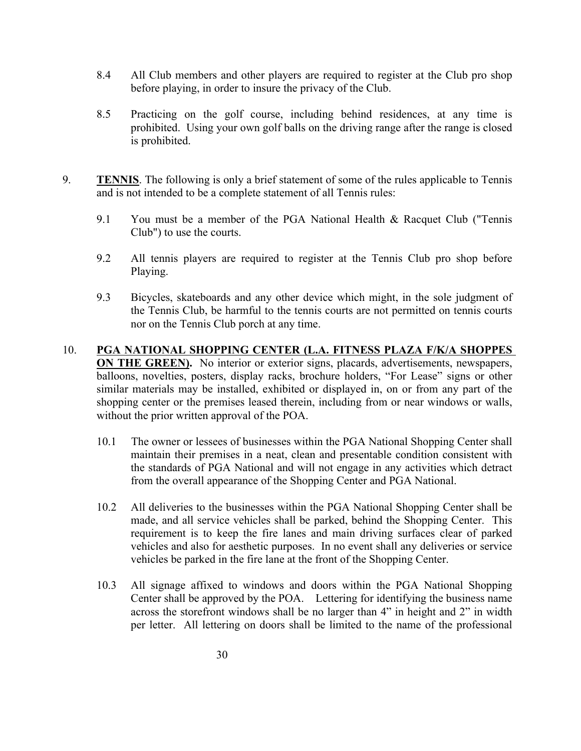- 8.4 All Club members and other players are required to register at the Club pro shop before playing, in order to insure the privacy of the Club.
- 8.5 Practicing on the golf course, including behind residences, at any time is prohibited. Using your own golf balls on the driving range after the range is closed is prohibited.
- 9. **TENNIS**. The following is only a brief statement of some of the rules applicable to Tennis and is not intended to be a complete statement of all Tennis rules:
	- 9.1 You must be a member of the PGA National Health & Racquet Club ("Tennis") Club") to use the courts.
	- 9.2 All tennis players are required to register at the Tennis Club pro shop before Playing.
	- 9.3 Bicycles, skateboards and any other device which might, in the sole judgment of the Tennis Club, be harmful to the tennis courts are not permitted on tennis courts nor on the Tennis Club porch at any time.
- 10. **PGA NATIONAL SHOPPING CENTER (L.A. FITNESS PLAZA F/K/A SHOPPES ON THE GREEN).** No interior or exterior signs, placards, advertisements, newspapers, balloons, novelties, posters, display racks, brochure holders, "For Lease" signs or other similar materials may be installed, exhibited or displayed in, on or from any part of the shopping center or the premises leased therein, including from or near windows or walls, without the prior written approval of the POA.
	- 10.1 The owner or lessees of businesses within the PGA National Shopping Center shall maintain their premises in a neat, clean and presentable condition consistent with the standards of PGA National and will not engage in any activities which detract from the overall appearance of the Shopping Center and PGA National.
	- 10.2 All deliveries to the businesses within the PGA National Shopping Center shall be made, and all service vehicles shall be parked, behind the Shopping Center. This requirement is to keep the fire lanes and main driving surfaces clear of parked vehicles and also for aesthetic purposes. In no event shall any deliveries or service vehicles be parked in the fire lane at the front of the Shopping Center.
	- 10.3 All signage affixed to windows and doors within the PGA National Shopping Center shall be approved by the POA. Lettering for identifying the business name across the storefront windows shall be no larger than 4" in height and 2" in width per letter. All lettering on doors shall be limited to the name of the professional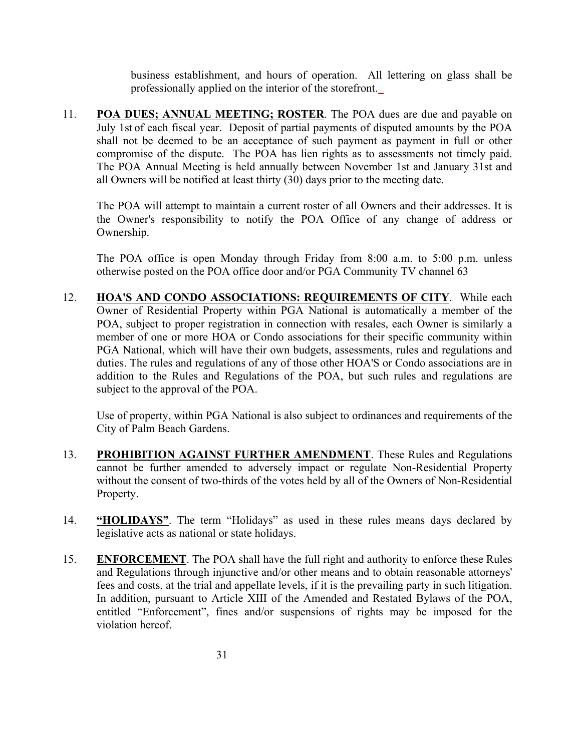business establishment, and hours of operation. All lettering on glass shall be professionally applied on the interior of the storefront.

11. **POA DUES; ANNUAL MEETING; ROSTER**. The POA dues are due and payable on July 1st of each fiscal year. Deposit of partial payments of disputed amounts by the POA shall not be deemed to be an acceptance of such payment as payment in full or other compromise of the dispute. The POA has lien rights as to assessments not timely paid. The POA Annual Meeting is held annually between November 1st and January 31st and all Owners will be notified at least thirty (30) days prior to the meeting date.

The POA will attempt to maintain a current roster of all Owners and their addresses. It is the Owner's responsibility to notify the POA Office of any change of address or Ownership.

The POA office is open Monday through Friday from 8:00 a.m. to 5:00 p.m. unless otherwise posted on the POA office door and/or PGA Community TV channel 63

12. **HOA'S AND CONDO ASSOCIATIONS: REQUIREMENTS OF CITY**. While each Owner of Residential Property within PGA National is automatically a member of the POA, subject to proper registration in connection with resales, each Owner is similarly a member of one or more HOA or Condo associations for their specific community within PGA National, which will have their own budgets, assessments, rules and regulations and duties. The rules and regulations of any of those other HOA'S or Condo associations are in addition to the Rules and Regulations of the POA, but such rules and regulations are subject to the approval of the POA.

Use of property, within PGA National is also subject to ordinances and requirements of the City of Palm Beach Gardens.

- 13. **PROHIBITION AGAINST FURTHER AMENDMENT**. These Rules and Regulations cannot be further amended to adversely impact or regulate Non-Residential Property without the consent of two-thirds of the votes held by all of the Owners of Non-Residential Property.
- 14. **"HOLIDAYS"**. The term "Holidays" as used in these rules means days declared by legislative acts as national or state holidays.
- 15. **ENFORCEMENT**. The POA shall have the full right and authority to enforce these Rules and Regulations through injunctive and/or other means and to obtain reasonable attorneys' fees and costs, at the trial and appellate levels, if it is the prevailing party in such litigation. In addition, pursuant to Article XIII of the Amended and Restated Bylaws of the POA, entitled "Enforcement", fines and/or suspensions of rights may be imposed for the violation hereof.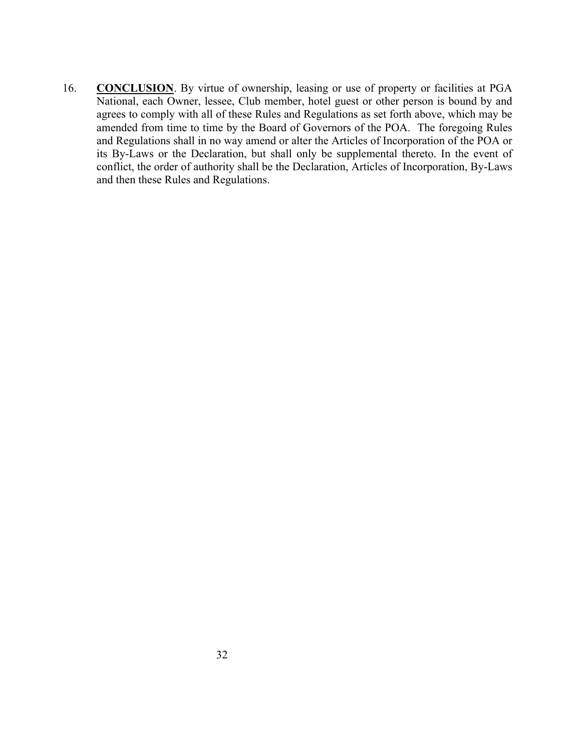16. **CONCLUSION**. By virtue of ownership, leasing or use of property or facilities at PGA National, each Owner, lessee, Club member, hotel guest or other person is bound by and agrees to comply with all of these Rules and Regulations as set forth above, which may be amended from time to time by the Board of Governors of the POA. The foregoing Rules and Regulations shall in no way amend or alter the Articles of Incorporation of the POA or its By-Laws or the Declaration, but shall only be supplemental thereto. In the event of conflict, the order of authority shall be the Declaration, Articles of Incorporation, By-Laws and then these Rules and Regulations.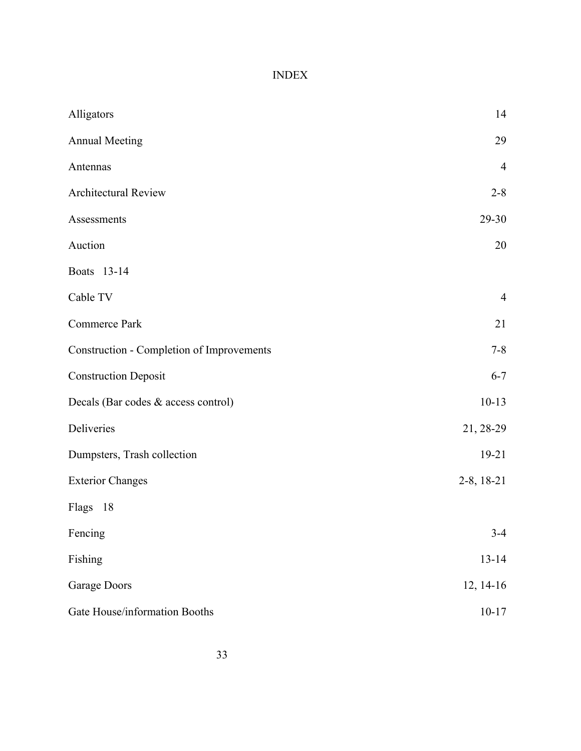## INDEX

| Alligators                                       | 14             |  |
|--------------------------------------------------|----------------|--|
| <b>Annual Meeting</b>                            | 29             |  |
| Antennas                                         | $\overline{4}$ |  |
| Architectural Review                             | $2 - 8$        |  |
| Assessments                                      | 29-30          |  |
| Auction                                          | 20             |  |
| Boats 13-14                                      |                |  |
| Cable TV                                         | $\overline{4}$ |  |
| Commerce Park                                    | 21             |  |
| <b>Construction - Completion of Improvements</b> | $7 - 8$        |  |
| <b>Construction Deposit</b>                      | $6 - 7$        |  |
| Decals (Bar codes & access control)              | $10-13$        |  |
| Deliveries                                       | 21, 28-29      |  |
| Dumpsters, Trash collection                      | $19 - 21$      |  |
| <b>Exterior Changes</b>                          | $2-8$ , 18-21  |  |
| Flags 18                                         |                |  |
| Fencing                                          | $3 - 4$        |  |
| Fishing                                          | $13 - 14$      |  |
| Garage Doors                                     | 12, 14-16      |  |
| Gate House/information Booths                    | $10 - 17$      |  |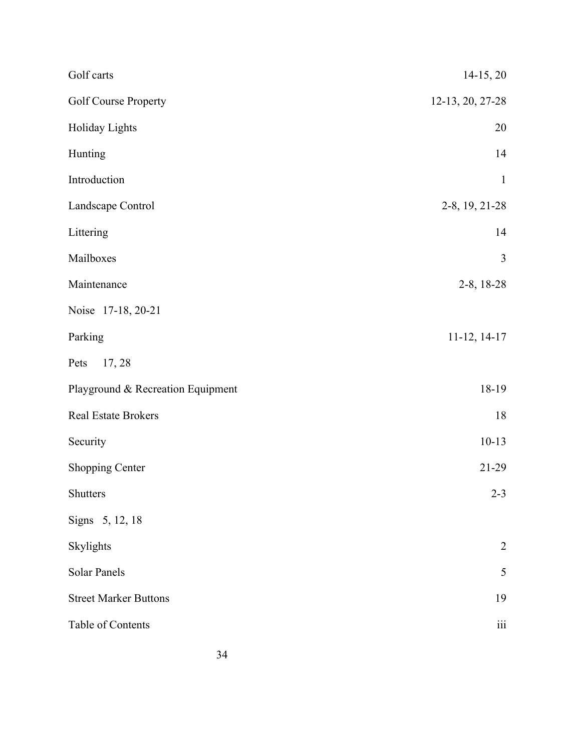| Golf carts                        | 14-15, 20        |  |
|-----------------------------------|------------------|--|
| Golf Course Property              | 12-13, 20, 27-28 |  |
| Holiday Lights                    | 20               |  |
| Hunting                           | 14               |  |
| Introduction                      | $\mathbf{1}$     |  |
| Landscape Control                 | 2-8, 19, 21-28   |  |
| Littering                         | 14               |  |
| Mailboxes                         | 3                |  |
| Maintenance                       | 2-8, 18-28       |  |
| Noise 17-18, 20-21                |                  |  |
| Parking                           | $11-12, 14-17$   |  |
| 17, 28<br>Pets                    |                  |  |
| Playground & Recreation Equipment | 18-19            |  |
| Real Estate Brokers               | 18               |  |
| Security                          | $10-13$          |  |
| Shopping Center                   | $21-29$          |  |
| Shutters                          | $2 - 3$          |  |
| Signs 5, 12, 18                   |                  |  |
| Skylights                         | $\overline{2}$   |  |
| Solar Panels                      | 5                |  |
| <b>Street Marker Buttons</b>      | 19               |  |
| Table of Contents                 | $\rm iii$        |  |